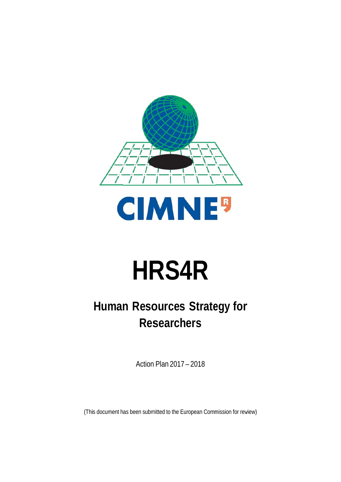

# **HRS4R**

## Human Resources Strategy for **Researchers**

Action Plan 2017 - 2018

(This document has been submitted to the European Commission for review)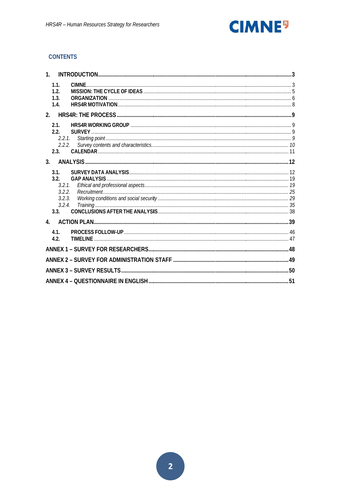

#### **CONTENTS**

| 1 <sup>1</sup>                                              |  |
|-------------------------------------------------------------|--|
| 1.1.<br>1.2.<br>1.3 <sub>1</sub><br>1.4.                    |  |
| 2.                                                          |  |
| 2.1.<br>2.2.<br>2.2.1<br>2.3.                               |  |
| 3 <sub>1</sub>                                              |  |
| 3.1<br>3.2.<br>3.2.1.<br>3.2.2.<br>3.2.3.<br>3.2.4.<br>3.3. |  |
| $\mathbf{4}$                                                |  |
| 4.1.<br>4.2.<br><b>TIMELINE</b>                             |  |
|                                                             |  |
|                                                             |  |
|                                                             |  |
|                                                             |  |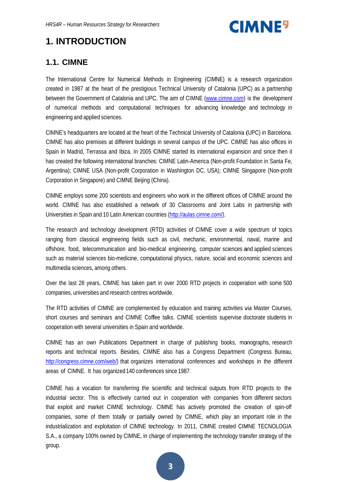

## **1. INTRODUCTION**

### **1.1. CIMNE**

The International Centre for Numerical Methods in Engineering (CIMNE) is a research organization created in 1987 at the heart of the prestigious Technical University of Catalonia (UPC) as a partnership between the Government of Catalonia and UPC. The aim of CIMNE (www.cimne.com) is the development of numerical methods and computational techniques for advancing knowledge and technology in engineering and applied sciences.

CIMNE's headquarters are located at the heart of the Technical University of Catalonia (UPC) in Barcelona. CIMNE has also premises at different buildings in several campus of the UPC. CIMNE has also offices in Spain in Madrid, Terrassa and Ibiza. In 2005 CIMNE started its international expansion and since then it has created the following international branches: CIMNE Latin-America (Non-profit Foundation in Santa Fe, Argentina); CIMNE USA (Non-profit Corporation in Washington DC, USA); CIMNE Singapore (Non-profit Corporation in Singapore) and CIMNE Beijing (China).

CIMNE employs some 200 scientists and engineers who work in the different offices of CIMNE around the world. CIMNE has also established a network of 30 Classrooms and Joint Labs in partnership with Universities in Spain and 10 Latin American countries (http://aulas.cimne.com/).

The research and technology development (RTD) activities of CIMNE cover a wide spectrum of topics ranging from classical engineering fields such as civil, mechanic, environmental, naval, marine and offshore, food, telecommunication and bio-medical engineering, computer sciences and applied sciences such as material sciences bio-medicine, computational physics, nature, social and economic sciences and multimedia sciences, among others.

Over the last 28 years, CIMNE has taken part in over 2000 RTD projects in cooperation with some 500 companies, universities and research centres worldwide.

The RTD activities of CIMNE are complemented by education and training activities via Master Courses, short courses and seminars and CIMNE Coffee talks. CIMNE scientists supervise doctorate students in cooperation with several universities in Spain and worldwide.

CIMNE has an own Publications Department in charge of publishing books, monographs, research reports and technical reports. Besides, CIMNE also has a Congress Department (Congress Bureau, http://congress.cimne.com/web/) that organizes international conferences and workshops in the different areas of CIMNE. It has organized 140 conferences since 1987.

CIMNE has a vocation for transferring the scientific and technical outputs from RTD projects to the industrial sector. This is effectively carried out in cooperation with companies from different sectors that exploit and market CIMNE technology. CIMNE has actively promoted the creation of spin-off companies, some of them totally or partially owned by CIMNE, which play an important role in the industrialization and exploitation of CIMNE technology. In 2011, CIMNE created CIMNE TECNOLOGIA S.A., a company 100% owned by CIMNE, in charge of implementing the technology transfer strategy of the group.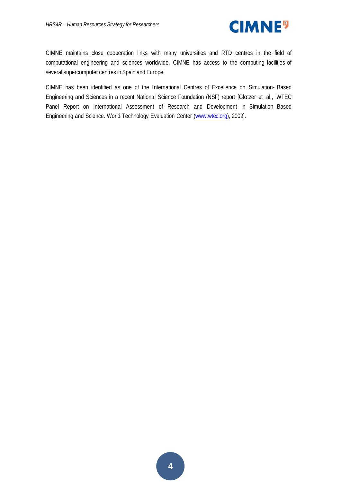

CIMNE maintains close cooperation links with many universities and RTD centres in the field of computational engineering and sciences worldwide. CIMNE has access to the computing facilities of several supercomputer centres in Spain and Europe.

CIMNE has been identified as one of the International Centres of Excellence on Simulation- Based Engineering and Sciences in a recent National Science Foundation (NSF) report [Glotzer et al., WTEC Panel Report on International Assessment of Research and Development in Simulation Based Engineering and Science. World Technology Evaluation Center (www.wtec.org), 2009].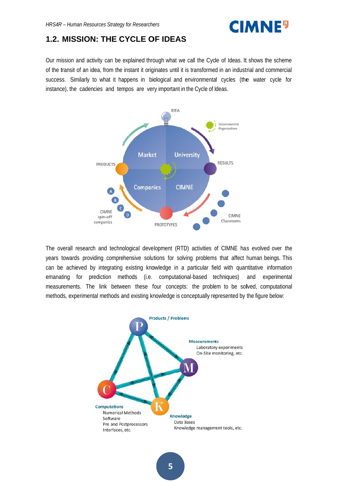## **CIMNF<sup>9</sup>**

#### **1.2. MISSION: THE CYCLE OF IDEAS**

Our mission and activity can be explained through what we call the Cycle of Ideas. It shows the scheme of the transit of an idea, from the instant it originates until it is transformed in an industrial and commercial success. Similarly to what it happens in biological and environmental cycles (the water cycle for instance), the cadencies and tempos are very important in the Cycle of Ideas.



The overall research and technological development (RTD) activities of CIMNE has evolved over the years towards providing comprehensive solutions for solving problems that affect human beings. This can be achieved by integrating existing knowledge in a particular field with quantitative information emanating for prediction methods (i.e. computational-based techniques) and experimental measurements. The link between these four concepts: the problem to be solved, computational methods, experimental methods and existing knowledge is conceptually represented by the figure below:

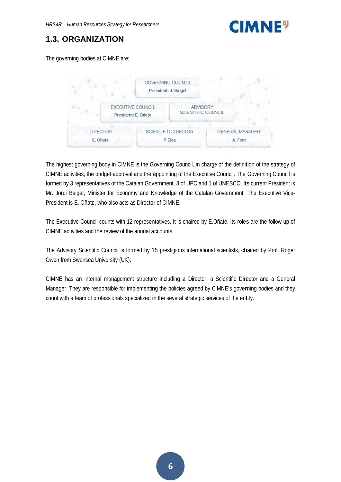## **CIMNE<sup>9</sup>**

### **1.3. ORGANIZATION**

The governing bodies at CIMNE are:



The highest governing body in CIMNE is the Governing Council, in charge of the definition of the strategy of CIMNE activities, the budget approval and the appointing of the Executive Council. The Governing Council is formed by 3 representatives of the Catalan Government, 3 of UPC and 1 of UNESCO. Its current President is Mr. Jordi Baiget, Minister for Economy and Knowledge of the Catalan Government. The Executive Vice-President is E. Oñate, who also acts as Director of CIMNE.

The Executive Council counts with 12 representatives. It is chaired by E.Oñate. Its roles are the follow-up of CIMNE activities and the review of the annual accounts.

The Advisory Scientific Council is formed by 15 prestigious international scientists, chaired by Prof. Roger Owen from Swansea University (UK).

CIMNE has an internal management structure including a Director, a Scientific Director and a General Manager. They are responsible for implementing the policies agreed by CIMNE's governing bodies and they count with a team of professionals specialized in the several strategic services of the entity.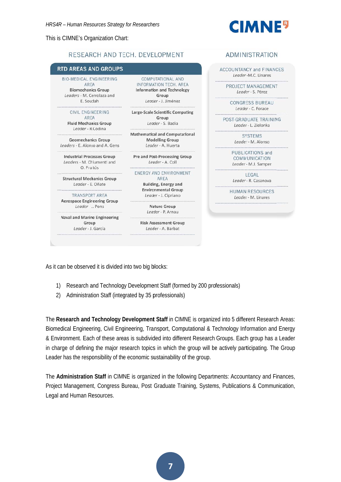This is CIMNE's Organization Chart:

**RTD AREAS AND GROUPS** 

**BIO-MEDICAL ENGINEERING** 

ARFA

**Biomechanics Group** 

E. Soudah

AREA

**Fluid Mechanics Group** 

Leader - R.Codina

**Geomechanics Group** 

Leaders - E. Alonso and A. Gens

Leaders - M. Cerrolaza and

CIVIL ENGINEERING

#### RESEARCH AND TECH. DEVELOPMENT



#### **ADMINISTRATION**

**ACCOUNTANCY and FINANCES** Leader-M.C. Linares

PROJECT MANAGEMENT Leader - S. Pérez

> CONGRESS BUREAU Leader - C. Forace

POST-GRADUATE TRAINING Leader - L. Zielonka

> **SYSTEMS** Leader - M. Alonso

PUBLICATIONS and **COMMUNICATION** Leader - M.J. Samper

**LEGAL** 

Leader - R. Casanova

**HUMAN RESOURCES** Leader - M. Linares

**Industrial Processes Group** Leaders - M. Chiumenti and O. Fruitós

**Structural Mechanics Group** Leader - E. Oñate

TRANSPORT AREA **Aerospace Engineering Group** Leader - J. Pons

**Naval and Marine Engineering** Group Leader - J. García

COMPUTATIONAL AND INFORMATION TECH. AREA **Information and Technology** Group Leader - J. Jiménez

Large-Scale Scientific Computing Group Leader - S. Badia

**Mathematical and Computational Modelling Group** 

Leader - A. Huerta

**Pre and Post-Processing Group** Leader - A. Coll

#### ENERGY AND ENVIRONMENT AREA

**Building, Energy and Environmental Group** Leader - J. Cipriano

Nature Group Leader - P. Arnau

**Risk Assessment Group** Leader - A. Barbat

As it can be observed it is divided into two big blocks:

- 1) Research and Technology Development Staff (formed by 200 professionals)
- 2) Administration Staff (integrated by 35 professionals)

The Research and Technology Development Staff in CIMNE is organized into 5 different Research Areas: Biomedical Engineering, Civil Engineering, Transport, Computational & Technology Information and Energy & Environment. Each of these areas is subdivided into different Research Groups. Each group has a Leader in charge of defining the major research topics in which the group will be actively participating. The Group Leader has the responsibility of the economic sustainability of the group.

The Administration Staff in CIMNE is organized in the following Departments: Accountancy and Finances, Project Management, Congress Bureau, Post Graduate Training, Systems, Publications & Communication, Legal and Human Resources.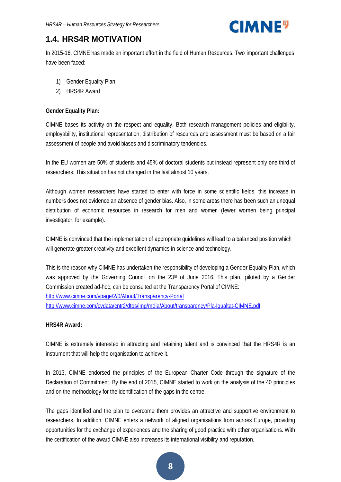

### **1.4. HRS4R MOTIVATION**

In 2015-16, CIMNE has made an important effort in the field of Human Resources. Two important challenges have been faced:

- 1) Gender Equality Plan
- 2) HRS4R Award

#### **Gender Equality Plan:**

CIMNE bases its activity on the respect and equality. Both research management policies and eligibility, employability, institutional representation, distribution of resources and assessment must be based on a fair assessment of people and avoid biases and discriminatory tendencies.

In the EU women are 50% of students and 45% of doctoral students but instead represent only one third of researchers. This situation has not changed in the last almost 10 years.

Although women researchers have started to enter with force in some scientific fields, this increase in numbers does not evidence an absence of gender bias. Also, in some areas there has been such an unequal distribution of economic resources in research for men and women (fewer women being principal investigator, for example).

CIMNE is convinced that the implementation of appropriate quidelines will lead to a balanced position which will generate greater creativity and excellent dynamics in science and technology.

This is the reason why CIMNE has undertaken the responsibility of developing a Gender Equality Plan, which was approved by the Governing Council on the 23<sup>rd</sup> of June 2016. This plan, piloted by a Gender Commission created ad-hoc, can be consulted at the Transparency Portal of CIMNE: http://www.cimne.com/vpage/2/0/About/Transparency-Portal

http://www.cimne.com/cvdata/cntr2/dtos/img/mdia/About/transparency/Pla-Igualtat-CIMNE.pdf

#### **HRS4R Award:**

CIMNE is extremely interested in attracting and retaining talent and is convinced that the HRS4R is an instrument that will help the organisation to achieve it.

In 2013, CIMNE endorsed the principles of the European Charter Code through the signature of the Declaration of Commitment. By the end of 2015, CIMNE started to work on the analysis of the 40 principles and on the methodology for the identification of the gaps in the centre.

The gaps identified and the plan to overcome them provides an attractive and supportive environment to researchers. In addition, CIMNE enters a network of aligned organisations from across Europe, providing opportunities for the exchange of experiences and the sharing of good practice with other organisations. With the certification of the award CIMNE also increases its international visibility and reputation.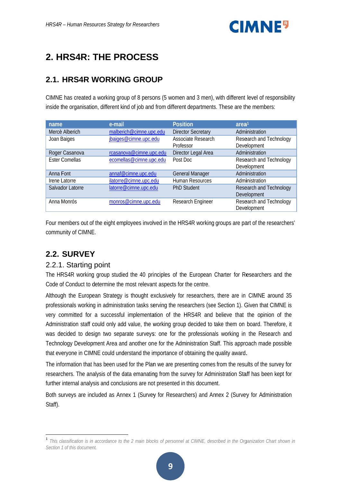

## 2. HRS4R: THE PROCESS

### 2.1. HRS4R WORKING GROUP

CIMNE has created a working group of 8 persons (5 women and 3 men), with different level of responsibility inside the organisation, different kind of job and from different departments. These are the members:

| name                  | e-mail                  | <b>Position</b>           | area <sup>1</sup>       |
|-----------------------|-------------------------|---------------------------|-------------------------|
| Mercè Alberich        | malberich@cimne.upc.edu | <b>Director Secretary</b> | Administration          |
| Joan Baiges           | jbaiges@cimne.upc.edu   | Associate Research        | Research and Technology |
|                       |                         | Professor                 | Development             |
| Roger Casanova        | rcasanova@cimne.upc.edu | Director Legal Area       | Administration          |
| <b>Ester Comellas</b> | ecomellas@cimne.upc.edu | Post Doc                  | Research and Technology |
|                       |                         |                           | Development             |
| Anna Font             | annaf@cimne.upc.edu     | <b>General Manager</b>    | Administration          |
| Irene Latorre         | ilatorre@cimne.upc.edu  | Human Resources           | Administration          |
| Salvador Latorre      | latorre@cimne.upc.edu   | <b>PhD Student</b>        | Research and Technology |
|                       |                         |                           | Development             |
| Anna Monrós           | monros@cimne.upc.edu    | Research Engineer         | Research and Technology |
|                       |                         |                           | Development             |

Four members out of the eight employees involved in the HRS4R working groups are part of the researchers' community of CIMNE.

## 2.2. SURVEY

#### 2.2.1. Starting point

The HRS4R working group studied the 40 principles of the European Charter for Researchers and the Code of Conduct to determine the most relevant aspects for the centre.

Although the European Strategy is thought exclusively for researchers, there are in CIMNE around 35 professionals working in administration tasks serving the researchers (see Section 1). Given that CIMNE is very committed for a successful implementation of the HRS4R and believe that the opinion of the Administration staff could only add value, the working group decided to take them on board. Therefore, it was decided to design two separate surveys: one for the professionals working in the Research and Technology Development Area and another one for the Administration Staff. This approach made possible that everyone in CIMNE could understand the importance of obtaining the quality award.

The information that has been used for the Plan we are presenting comes from the results of the survey for researchers. The analysis of the data emanating from the survey for Administration Staff has been kept for further internal analysis and conclusions are not presented in this document.

Both surveys are included as Annex 1 (Survey for Researchers) and Annex 2 (Survey for Administration Staff).

<sup>&</sup>lt;sup>1</sup> This classification is in accordance to the 2 main blocks of personnel at CIMNE, described in the Organization Chart shown in Section 1 of this document.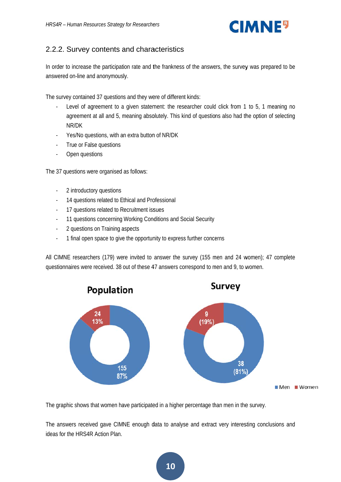

#### 2.2.2. Survey contents and characteristics

In order to increase the participation rate and the frankness of the answers, the survey was prepared to be answered on-line and anonymously.

The survey contained 37 questions and they were of different kinds:

- $\overline{a}$ Level of agreement to a given statement: the researcher could click from 1 to 5, 1 meaning no agreement at all and 5, meaning absolutely. This kind of questions also had the option of selecting NR/DK
- Yes/No questions, with an extra button of NR/DK
- True or False questions
- Open questions

The 37 questions were organised as follows:

- $\overline{a}$ 2 introductory questions
- 14 questions related to Ethical and Professional
- 17 questions related to Recruitment issues
- 11 questions concerning Working Conditions and Social Security
- 2 questions on Training aspects  $\overline{a}$
- 1 final open space to give the opportunity to express further concerns

All CIMNE researchers (179) were invited to answer the survey (155 men and 24 women); 47 complete questionnaires were received. 38 out of these 47 answers correspond to men and 9, to women.



The graphic shows that women have participated in a higher percentage than men in the survey.

The answers received gave CIMNE enough data to analyse and extract very interesting conclusions and ideas for the HRS4R Action Plan.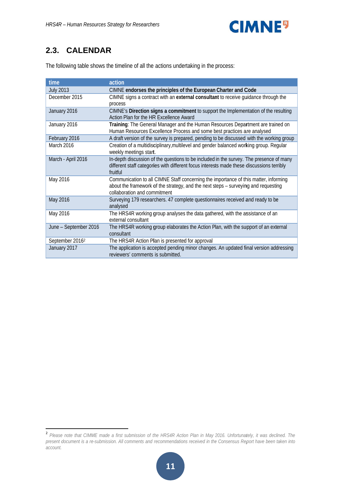

## 2.3. CALENDAR

The following table shows the timeline of all the actions undertaking in the process:

| time                        | action                                                                                                                                                                                                     |
|-----------------------------|------------------------------------------------------------------------------------------------------------------------------------------------------------------------------------------------------------|
| <b>July 2013</b>            | CIMNE endorses the principles of the European Charter and Code                                                                                                                                             |
| December 2015               | CIMNE signs a contract with an external consultant to receive guidance through the<br>process                                                                                                              |
| January 2016                | CIMNE's Direction signs a commitment to support the Implementation of the resulting<br>Action Plan for the HR Excellence Award                                                                             |
| January 2016                | Training: The General Manager and the Human Resources Department are trained on<br>Human Resources Excellence Process and some best practices are analysed                                                 |
| February 2016               | A draft version of the survey is prepared, pending to be discussed with the working group                                                                                                                  |
| March 2016                  | Creation of a multidisciplinary, multilevel and gender balanced working group. Regular<br>weekly meetings start.                                                                                           |
| March - April 2016          | In-depth discussion of the questions to be included in the survey. The presence of many<br>different staff categories with different focus interests made these discussions terribly<br>fruitful           |
| May 2016                    | Communication to all CIMNE Staff concerning the importance of this matter, informing<br>about the framework of the strategy, and the next steps - surveying and requesting<br>collaboration and commitment |
| May 2016                    | Surveying 179 researchers. 47 complete questionnaires received and ready to be<br>analysed                                                                                                                 |
| May 2016                    | The HRS4R working group analyses the data gathered, with the assistance of an<br>external consultant                                                                                                       |
| June - September 2016       | The HRS4R working group elaborates the Action Plan, with the support of an external<br>consultant                                                                                                          |
| September 2016 <sup>2</sup> | The HRS4R Action Plan is presented for approval                                                                                                                                                            |
| January 2017                | The application is accepted pending minor changes. An updated final version addressing<br>reviewers' comments is submitted.                                                                                |

 <sup>2</sup> *Please* present document is a re-submission. All comments and recommendations received in the Consensus Report have been taken into *account. e note that CIMM ME made a first*  $\overline{\phantom{0}}$ submission of the HRS4R Action Plan in May 2016. Unfortunately, it was declined. The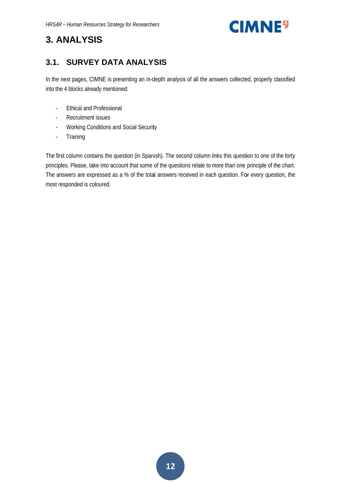

## **3. ANALYSIS**

#### $3.1.$ **SURVEY DATA ANALYSIS**

In the next pages, CIMNE is presenting an in-depth analysis of all the answers collected, properly classified into the 4 blocks already mentioned:

- **Ethical and Professional**  $\overline{a}$
- Recruitment issues  $\overline{a}$
- Working Conditions and Social Security  $\overline{a}$
- Training  $\overline{a}$

The first column contains the question (in Spanish). The second column links this question to one of the forty principles. Please, take into account that some of the questions relate to more than one principle of the chart. The answers are expressed as a % of the total answers received in each question. For every question, the most responded is coloured.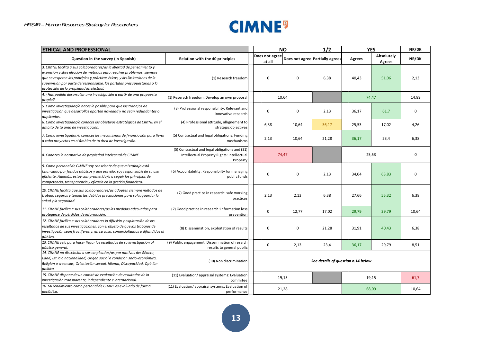## **CIMNE**<sup>9</sup>

| <b>ETHICAL AND PROFESSIONAL</b>                                                                                                                                                                                                                                                                                                                       |                                                                                                          |                                    | <b>NO</b>   |                                 | <b>YES</b> |                      | NR/DK |
|-------------------------------------------------------------------------------------------------------------------------------------------------------------------------------------------------------------------------------------------------------------------------------------------------------------------------------------------------------|----------------------------------------------------------------------------------------------------------|------------------------------------|-------------|---------------------------------|------------|----------------------|-------|
| Question in the survey (in Spanish)                                                                                                                                                                                                                                                                                                                   | Relation with the 40 principles                                                                          | Does not agree<br>at all           |             | Does not agree Partially agrees | Agrees     | Absolutely<br>Agrees | NR/DK |
| 3. CIMNE facilita a sus colaboradores/as la libertad de pensamiento y<br>expresión y libre elección de métodos para resolver problemas, siempre<br>que se respeten los principios y prácticas éticas, y las limitaciones de la<br>supervisión por parte del responsable, las partidas presupuestarias o la<br>protección de la propiedad intelectual. | (1) Research freedom                                                                                     | $\mathbf 0$                        | $\mathbf 0$ | 6,38                            | 40,43      | 51,06                | 2,13  |
| 4. ¿Has podido desarrollar una investigación a partir de una propuesta<br>propia?                                                                                                                                                                                                                                                                     | (1) Reserach freedom: Develop an own proposal                                                            | 10,64                              |             |                                 |            | 74,47                | 14,89 |
| 5. Como investigador/a haces lo posible para que los trabajos de<br>investigación que desarrollas aporten novedad y no sean redundantes o<br>duplicados.                                                                                                                                                                                              | (3) Professional responsibility: Relevant and<br>innovative research                                     | $\mathbf 0$                        | 0           | 2,13                            | 36,17      | 61,7                 | 0     |
| 6. Como investigador/a conoces los objetivos estratégicos de CIMNE en el<br>ámbito de tu área de investigación.                                                                                                                                                                                                                                       | (4) Professional attitude, allignement to<br>strategic objectives                                        | 6,38                               | 10,64       | 36,17                           | 25,53      | 17,02                | 4,26  |
| 7. Como investigador/a conoces los mecanismos de financiación para llevar<br>a cabo proyectos en el ámbito de tu área de investigación.                                                                                                                                                                                                               | (5) Contractual and legal obligations: Funding<br>mechanisms                                             | 2,13                               | 10,64       | 21,28                           | 36,17      | 23,4                 | 6,38  |
| 8. Conozco la normativa de propiedad intelectual de CIMNE.                                                                                                                                                                                                                                                                                            | (5) Contractual and legal obligations and (31)<br>Intellectual Property Rights: Intellectual<br>Property |                                    | 74,47       |                                 |            | 25,53                | 0     |
| 9. Como personal de CIMNE soy consciente de que mi trabajo está<br>financiado por fondos públicos y que por ello, soy responsable de su uso<br>eficiente. Además, estoy comprometido/a a seguir los principios de<br>competencia, transparencia y eficacia en la gestión financiera.                                                                  | (6) Accountability: Responsibilty for managing<br>public funds                                           | $\mathbf 0$                        | $\mathbf 0$ | 2,13                            | 34,04      | 63,83                | 0     |
| 10. CIMNE facilita que sus colaboradores/as adopten siempre métodos de<br>trabajo seguros y tomen las debidas precauciones para salvaguardar la<br>salud y la seguridad.                                                                                                                                                                              | (7) Good practice in research: safe working<br>practices                                                 | 2,13                               | 2,13        | 6,38                            | 27,66      | 55,32                | 6,38  |
| 11. CIMNE facilita a sus colaboradores/as las medidas adecuadas para<br>protegerse de pérdidas de información.                                                                                                                                                                                                                                        | (7) Good practice in research: information loss<br>prevention                                            | $\mathbf 0$                        | 12,77       | 17,02                           | 29,79      | 29,79                | 10,64 |
| 12. CIMNE facilita a sus colaboradores la difusión y explotación de los<br>resultados de sus investigaciones, con el objeto de que los trabajos de<br>investigación sean fructíferos y, en su caso, comercializados o difundidos al<br>oúblico.                                                                                                       | (8) Dissemination, exploitation of results                                                               | $\mathbf 0$                        | $\mathbf 0$ | 21,28                           | 31,91      | 40,43                | 6,38  |
| 13. CIMNE vela para hacer llegar los resultados de su investigación al<br>público general.                                                                                                                                                                                                                                                            | (9) Public engagement: Dissemination of resarch<br>results to general public                             | $\mathbf 0$                        | 2,13        | 23,4                            | 36,17      | 29,79                | 8,51  |
| 14. CIMNE no discrimina a sus empleados/as por motivos de: Género,<br>Edad, Etnia o nacionalidad, Origen social o condición socio-económica,<br>Religión o creencias, Orientación sexual, Idioma, Discapacidad, Opinión<br>política                                                                                                                   | (10) Non discrimination                                                                                  | See details of question n.14 below |             |                                 |            |                      |       |
| 15. CIMNE dispone de un comité de evaluación de resultados de la<br>investigación transparente, independiente e internacional.                                                                                                                                                                                                                        | (11) Evaluation/ appraisal systems: Evaluation<br>commitee                                               |                                    | 19,15       |                                 |            | 19,15                | 61,7  |
| 16. Mi rendimiento como personal de CIMNE es evaluado de forma<br>periódica.                                                                                                                                                                                                                                                                          | (11) Evaluation/appraisal systems: Evaluation of<br>performance                                          |                                    | 21,28       |                                 |            | 68,09                | 10,64 |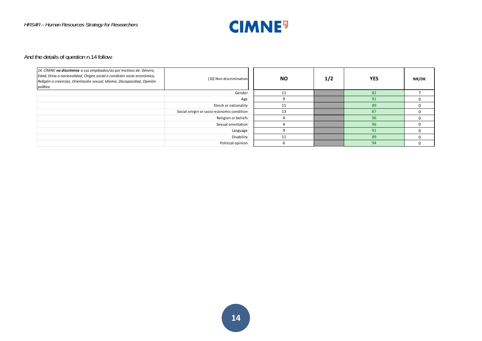

#### And the details of question n.14 follow:

| 14. CIMNE no discrimina a sus empleados/as por motivos de: Género,<br>Edad, Etnia o nacionalidad, Origen social o condición socio-económica,<br>Religión o creencias, Orientación sexual, Idioma, Discapacidad, Opinión<br>política | (10) Non discrimination                    | <b>NO</b> | 1/2 | <b>YES</b> | NR/DK |
|-------------------------------------------------------------------------------------------------------------------------------------------------------------------------------------------------------------------------------------|--------------------------------------------|-----------|-----|------------|-------|
|                                                                                                                                                                                                                                     | Gender                                     | 11        |     | 82         |       |
|                                                                                                                                                                                                                                     | Age                                        |           |     | 91         |       |
|                                                                                                                                                                                                                                     | Etnich or nationality                      | 11        |     | 89         |       |
|                                                                                                                                                                                                                                     | Social orirgin or socio-economic condition | 13        |     | 87         |       |
|                                                                                                                                                                                                                                     | Religion or beliefs                        |           |     | 96         |       |
|                                                                                                                                                                                                                                     | Sexual orientation                         |           |     | 96         |       |
|                                                                                                                                                                                                                                     | Language                                   |           |     | 91         |       |
|                                                                                                                                                                                                                                     | Disability                                 | 11        |     | 89         |       |
|                                                                                                                                                                                                                                     | Political opinion                          |           |     | 94         |       |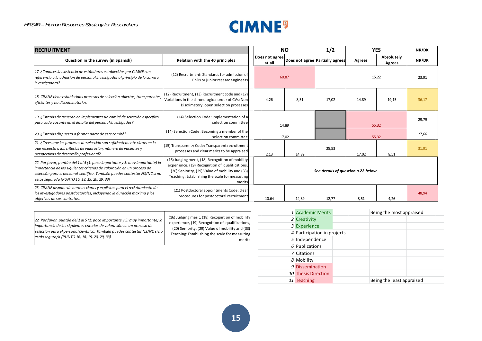

| <b>RECRUITMENT</b>                                                                                                                                                                                                                                                                     |                                                                                                                                                                                                                    |  | <b>NO</b>                          |       | 1/2                             | <b>YES</b>    |                      | NR/DK |  |       |
|----------------------------------------------------------------------------------------------------------------------------------------------------------------------------------------------------------------------------------------------------------------------------------------|--------------------------------------------------------------------------------------------------------------------------------------------------------------------------------------------------------------------|--|------------------------------------|-------|---------------------------------|---------------|----------------------|-------|--|-------|
| Question in the survey (in Spanish)                                                                                                                                                                                                                                                    | Relation with the 40 principles                                                                                                                                                                                    |  | Does not agree<br>at all           |       | Does not agree Partially agrees | <b>Agrees</b> | Absolutely<br>Agrees | NR/DK |  |       |
| 17. ¿Conoces la existencia de estándares establecidos por CIMNE con<br>referencia a la admisión de personal investigador al principio de la carrera<br>investigadora?                                                                                                                  | (12) Recruitment: Standards for admission of<br>PhDs or junior researc engineers                                                                                                                                   |  | 60,87                              |       |                                 |               |                      | 15,22 |  | 23,91 |
| 18. CIMNE tiene establecidos procesos de selección abiertos, transparentes,<br>eficientes y no discriminatorios.                                                                                                                                                                       | (12) Recruitment, (13) Recruitment code and (17)<br>Variations in the chronological order of CVs: Non<br>Discrimatory, open selection processes                                                                    |  | 4,26                               | 8,51  | 17,02                           | 14,89         | 19,15                | 36,17 |  |       |
| 19. ¿Estarías de acuerdo en implementar un comité de selección específico<br>para cada vacante en el ámbito del personal investigador?                                                                                                                                                 | (14) Selection Code: Implementation of a<br>selection committee                                                                                                                                                    |  | 14,89                              |       | 55,32                           |               |                      | 29,79 |  |       |
| 20. ¿Estarías dispuesto a formar parte de este comité?                                                                                                                                                                                                                                 | (14) Selection Code: Becoming a member of the<br>selection committee                                                                                                                                               |  |                                    |       | 17,02                           |               |                      | 55,32 |  | 27,66 |
| 21. ¿Crees que los procesos de selección son suficientemente claros en lo<br>que respecta a los criterios de valoración, número de vacantes y<br>perspectivas de desarrollo profesional?                                                                                               | (15) Transparency Code: Transparent recruitment<br>processes and clear merits to be appraised                                                                                                                      |  | 2,13                               | 14,89 | 25,53                           | 17,02         | 8,51                 | 31,91 |  |       |
| 22. Por favor, puntúa del 1 al 5 (1: poco importante y 5: muy importante) la<br>importancia de los siguientes criterios de valoración en un proceso de<br>selección para el personal científico. También puedes contestar NS/NC si no<br>estás seguro/a (PUNTO 16, 18, 19, 20, 29, 33) | (16) Judging merit, (18) Recognition of mobility<br>experience, (19) Recognition of qualifications,<br>(20) Seniority, (29) Value of mobility and (33)<br>Teaching: Establishing the scale for measuting<br>merit: |  | See details of question n.22 below |       |                                 |               |                      |       |  |       |
| 23. CIMNE dispone de normas claras y explícitas para el reclutamiento de<br>los investigadores postdoctorales, incluyendo la duración máxima y los<br>objetivos de sus contratos.                                                                                                      | (21) Postdoctoral appointments Code: clear<br>procedures for postdoctoral recruitment                                                                                                                              |  | 10,64                              | 14,89 | 12,77                           | 8,51          | 4,26                 | 48,94 |  |       |

| 1 Academic Merits           | Being the most appraised  |  |  |  |
|-----------------------------|---------------------------|--|--|--|
| 2 Creativity                |                           |  |  |  |
| 3 Experience                |                           |  |  |  |
| 4 Participation in projects |                           |  |  |  |
| 5 Independence              |                           |  |  |  |
| 6 Publications              |                           |  |  |  |
| 7 Citations                 |                           |  |  |  |
| 8 Mobility                  |                           |  |  |  |
| 9 Dissemination             |                           |  |  |  |
| 10 Thesis Direction         |                           |  |  |  |
| 11 Teaching                 | Being the least appraised |  |  |  |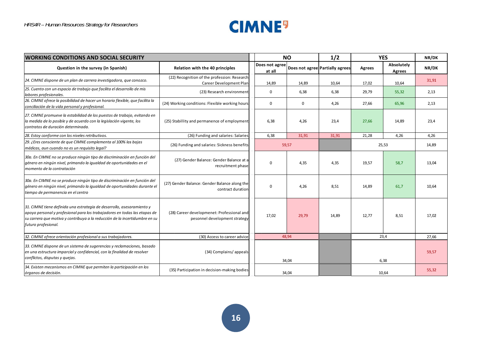

| <b>WORKING CONDITIONS AND SOCIAL SECURITY</b>                                                                                                                                                                                                             |                                                                             | <b>NO</b>                |             | 1/2<br><b>YES</b>               |        |                             | NR/DK |
|-----------------------------------------------------------------------------------------------------------------------------------------------------------------------------------------------------------------------------------------------------------|-----------------------------------------------------------------------------|--------------------------|-------------|---------------------------------|--------|-----------------------------|-------|
| Question in the survey (in Spanish)                                                                                                                                                                                                                       | Relation with the 40 principles                                             | Does not agree<br>at all |             | Does not agree Partially agrees | Agrees | Absolutely<br><b>Agrees</b> | NR/DK |
| 24. CIMNE dispone de un plan de carrera investigadora, que conozco.                                                                                                                                                                                       | (22) Recognition of the profession: Research<br>Career Development Plan     | 14,89                    | 14,89       | 10,64                           | 17,02  | 10,64                       | 31,91 |
| 25. Cuento con un espacio de trabajo que facilita el desarrollo de mis<br>labores profesionales.                                                                                                                                                          | (23) Research environment                                                   | $\mathbf 0$              | 6,38        | 6,38                            | 29,79  | 55,32                       | 2,13  |
| 26. CIMNE ofrece la posibilidad de hacer un horario flexible, que facilita la<br>conciliación de la vida personal y profesional.                                                                                                                          | (24) Working conditions: Flexible working hours                             | $\mathbf 0$              | $\mathbf 0$ | 4,26                            | 27,66  | 65,96                       | 2,13  |
| 27. CIMNE promueve la estabilidad de los puestos de trabajo, evitando en<br>la medida de lo posible y de acuerdo con la legislación vigente, los<br>contratos de duración determinada.                                                                    | (25) Stabillity and permanence of employment                                | 6,38                     | 4,26        | 23,4                            | 27,66  | 14,89                       | 23,4  |
| 28. Estoy conforme con los niveles retributivos.                                                                                                                                                                                                          | (26) Funding and salaries: Salaries                                         | 6,38                     | 31,91       | 31,91                           | 21,28  | 4,26                        | 4,26  |
| 29. ¿Eres consciente de que CIMNE complementa al 100% las bajas<br>médicas, aun cuando no es un requisito legal?                                                                                                                                          | (26) Funding and salaries: Sickness benefits                                |                          | 59,57       |                                 | 25,53  |                             | 14,89 |
| 30a. En CIMNE no se produce ningún tipo de discriminación en función del<br>género en ningún nivel, primando la igualdad de oportunidades en el<br>momento de la contratación                                                                             | (27) Gender Balance: Gender Balance at a<br>recruitment phase               | $\mathbf 0$              | 4,35        | 4,35                            | 19,57  | 58,7                        | 13,04 |
| 30a. En CIMNE no se produce ningún tipo de discriminación en función del<br>género en ningún nivel, primando la igualdad de oportunidades durante el<br>tiempo de permanencia en el centro                                                                | (27) Gender Balance: Gender Balance along the<br>contract duration          | $\mathbf 0$              | 4,26        | 8,51                            | 14,89  | 61,7                        | 10,64 |
| 31. CIMNE tiene definida una estrategia de desarrollo, asesoramiento y<br>apoyo personal y profesional para los trabajadores en todas las etapas de<br>su carrera que motiva y contribuya a la reducción de la incertidumbre en su<br>futuro profesional. | (28) Career developmenet: Professional and<br>pesonnel development strategy | 17,02                    | 29,79       | 14,89                           | 12,77  | 8,51                        | 17,02 |
| 32. CIMNE ofrece orientación profesional a sus trabajadores.                                                                                                                                                                                              | (30) Access to career advice                                                |                          | 48,94       |                                 |        | 23,4                        | 27,66 |
| 33. CIMNE dispone de un sistema de sugerencias y reclamaciones, basado<br>en una estructura imparcial y confidencial, con la finalidad de resolver<br>conflictos, disputas y quejas.                                                                      | (34) Complains/appeals                                                      |                          | 34,04       |                                 |        | 6,38                        | 59,57 |
| 34. Existen mecanismos en CIMNE que permiten la participación en los<br>órganos de decisión.                                                                                                                                                              | (35) Participation in decision-making bodies                                |                          | 34,04       |                                 |        | 10,64                       | 55,32 |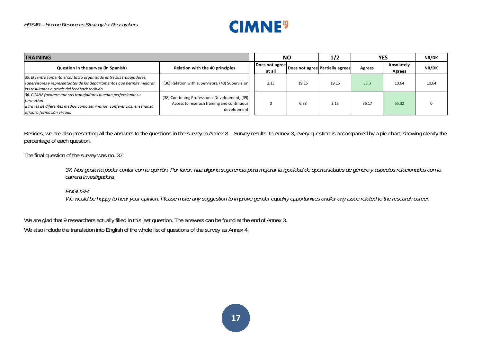

| <b>NO</b><br><b>TRAINING</b>                                                                                                                                                                     |                                                                                                             |                          | 1/2   |                                 | YES    | NR/DK                |       |
|--------------------------------------------------------------------------------------------------------------------------------------------------------------------------------------------------|-------------------------------------------------------------------------------------------------------------|--------------------------|-------|---------------------------------|--------|----------------------|-------|
| Question in the survey (in Spanish)                                                                                                                                                              | Relation with the 40 principles                                                                             | Does not agree<br>at all |       | Does not agree Partially agrees | Agrees | Absolutely<br>Agrees | NR/DK |
| 35. El centro fomenta el contacto organizado entre sus trabajadores,<br>supervisores y representantes de los departamentos que permite mejorar<br>los resultados a través del feedback recibido. | (36) Relation with supervisors, (40) Supervision                                                            | 2,13                     | 19,15 | 19,15                           | 38,3   | 10,64                | 10,64 |
| 36. CIMNE favorece que sus trabajadores puedan perfeccionar su<br>formación<br>a través de diferentes medios como seminarios, conferencias, enseñanza<br>oficial o formación virtual.            | (38) Continuing Professional Development, (39)<br>Access to reserach training and continuous<br>development |                          | 6,38  | 2,13                            | 36,17  | 55,32                |       |

Besides, we are also presenting all the answers to the questions in the survey in Annex 3 – Survey results. In Annex 3, every question is accompanied by a pie chart, showing clearly the percentage of each question.

The final question of the survey was no. 37:

37. Nos gustaría poder contar con tu opinión. Por favor, haz alguna sugerencia para mejorar la igualdad de oportunidades de género y aspectos relacionados con la carrera investigadora

#### **ENGLISH:**

We would be happy to hear your opinion. Please make any suggestion to improve gender equality opportunities and/or any issue related to the research career.

We are glad that 9 researchers actually filled in this last question. The answers can be found at the end of Annex 3.

We also include the translation into English of the whole list of questions of the survey as Annex 4.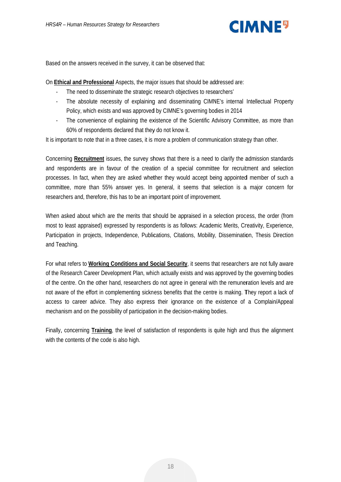

Based on the answers received in the survey, it can be observed that:

On **Ethical and Professional** Aspects, the major issues that should be addressed are:

- The need to disseminate the strategic research objectives to researchers'
- The absolute necessity of explaining and disseminating CIMNE's internal Intellectual Property Policy, which exists and was approved by CIMNE's governing bodies in 2014
- The convenience of explaining the existence of the Scientific Advisory Committee, as more than 60% of respondents declared that they do not know it.

It is important to note that in a three cases, it is more a problem of communication strategy than other.

Concerning **Recruitment** issues, the survey shows that there is a need to clarify the admission standards and respondents are in favour of the creation of a special committee for recruitment and selection processes. In fact, when they are asked whether they would accept being appointed member of such a committee, more than 55% answer yes. In general, it seems that selection is a major concern for researchers and, therefore, this has to be an important point of improvement.

When asked about which are the merits that should be appraised in a selection process, the order (from most to least appraised) expressed by respondents is as follows: Academic Merits, Creativity, Experience, Participation in projects, Independence, Publications, Citations, Mobility, Dissemination, Thesis Direction and Teaching.

For what refers to Working Conditions and Social Security, it seems that researchers are not fully aware of the Research Career Development Plan, which actually exists and was approved by the governing bodies of the centre. On the other hand, researchers do not agree in general with the remuneration levels and are not aware of the effort in complementing sickness benefits that the centre is making. They report a lack of access to career advice. They also express their ignorance on the existence of a Complain/Appeal mechanism and on the possibility of participation in the decision-making bodies.

Finally, concerning Training, the level of satisfaction of respondents is quite high and thus the alignment with the contents of the code is also high.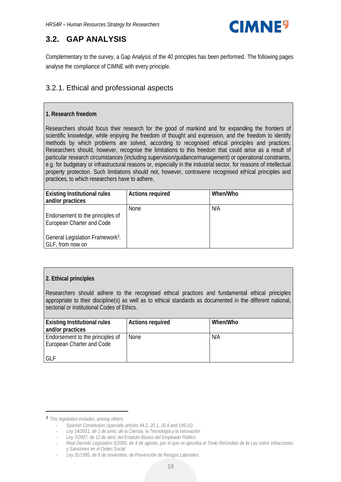

#### **GAP ANALYSIS**  $3.2.$

Complementary to the survey, a Gap Analysis of the 40 principles has been performed. The following pages analyse the compliance of CIMNE with every principle.

#### 3.2.1. Ethical and professional aspects

#### 1. Research freedom

Researchers should focus their research for the good of mankind and for expanding the frontiers of scientific knowledge, while enjoying the freedom of thought and expression, and the freedom to identify methods by which problems are solved, according to recognised ethical principles and practices. Researchers should, however, recognise the limitations to this freedom that could arise as a result of particular research circumstances (including supervision/guidance/management) or operational constraints. e.g. for budgetary or infrastructural reasons or, especially in the industrial sector, for reasons of intellectual property protection. Such limitations should not, however, contravene recognised ethical principles and practices, to which researchers have to adhere.

| <b>Existing Institutional rules</b><br>and/or practices                                                                           | <b>Actions required</b> | When/Who |
|-----------------------------------------------------------------------------------------------------------------------------------|-------------------------|----------|
| Endorsement to the principles of<br>European Charter and Code<br>General Legislation Framework <sup>3</sup> .<br>GLF, from now on | None                    | N/A      |

#### 2. Ethical principles

Researchers should adhere to the recognised ethical practices and fundamental ethical principles appropriate to their discipline(s) as well as to ethical standards as documented in the different national, sectorial or institutional Codes of Ethics.

| <b>Existing Institutional rules</b><br>and/or practices       | Actions required | When/Who |
|---------------------------------------------------------------|------------------|----------|
| Endorsement to the principles of<br>European Charter and Code | None             | N/A      |
| GLF                                                           |                  |          |

<sup>3</sup> This legislation includes, among others:

Spanish Constitution (specially articles 44.2, 20.1, 20.4 and 149.15)

Ley 14/2011, de 1 de junio, de la Ciencia, la Tecnología y la Innovación

v Sanciones en el Orden Social.

Lev 31/1995, de 8 de noviembre, de Prevención de Riesaos Laborales.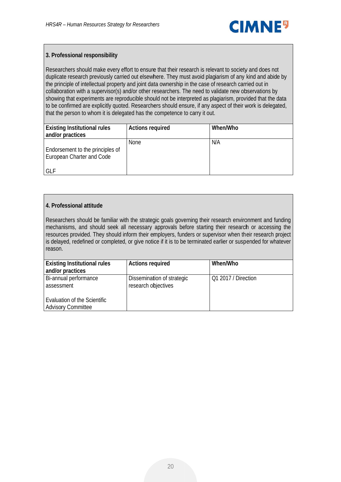

#### 3. Professional responsibility

Researchers should make every effort to ensure that their research is relevant to society and does not duplicate research previously carried out elsewhere. They must avoid plagiarism of any kind and abide by the principle of intellectual property and joint data ownership in the case of research carried out in collaboration with a supervisor(s) and/or other researchers. The need to validate new observations by showing that experiments are reproducible should not be interpreted as plagiarism, provided that the data to be confirmed are explicitly quoted. Researchers should ensure, if any aspect of their work is delegated. that the person to whom it is delegated has the competence to carry it out.

| <b>Existing Institutional rules</b><br>and/or practices                     | <b>Actions required</b> | When/Who |
|-----------------------------------------------------------------------------|-------------------------|----------|
| Endorsement to the principles of<br>European Charter and Code<br><b>GLF</b> | <b>None</b>             | N/A      |

#### 4. Professional attitude

Researchers should be familiar with the strategic goals governing their research environment and funding mechanisms, and should seek all necessary approvals before starting their research or accessing the resources provided. They should inform their employers, funders or supervisor when their research project is delayed, redefined or completed, or give notice if it is to be terminated earlier or suspended for whatever reason.

| <b>Existing Institutional rules</b><br>and/or practices   | <b>Actions required</b>                           | When/Who            |
|-----------------------------------------------------------|---------------------------------------------------|---------------------|
| Bi-annual performance<br>assessment                       | Dissemination of strategic<br>research objectives | Q1 2017 / Direction |
| Evaluation of the Scientific<br><b>Advisory Committee</b> |                                                   |                     |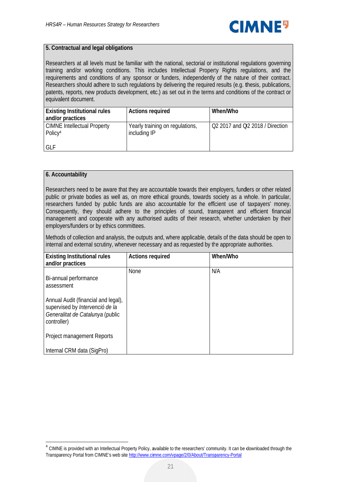

#### 5. Contractual and legal obligations

Researchers at all levels must be familiar with the national, sectorial or institutional regulations governing training and/or working conditions. This includes Intellectual Property Rights regulations, and the requirements and conditions of any sponsor or funders, independently of the nature of their contract. Researchers should adhere to such regulations by delivering the required results (e.g. thesis, publications, patents, reports, new products development, etc.) as set out in the terms and conditions of the contract or equivalent document.

| <b>Existing Institutional rules</b><br>and/or practices   | <b>Actions required</b>                         | When/Who                        |
|-----------------------------------------------------------|-------------------------------------------------|---------------------------------|
| <b>CIMNE</b> Intellectual Property<br>Policy <sup>4</sup> | Yearly training on regulations,<br>including IP | Q2 2017 and Q2 2018 / Direction |
| <b>GLF</b>                                                |                                                 |                                 |

#### 6. Accountability

Researchers need to be aware that they are accountable towards their employers, funders or other related public or private bodies as well as, on more ethical grounds, towards society as a whole. In particular, researchers funded by public funds are also accountable for the efficient use of taxpayers' money. Consequently, they should adhere to the principles of sound, transparent and efficient financial management and cooperate with any authorised audits of their research, whether undertaken by their employers/funders or by ethics committees.

Methods of collection and analysis, the outputs and, where applicable, details of the data should be open to internal and external scrutiny, whenever necessary and as requested by the appropriate authorities.

| <b>Existing Institutional rules</b><br>and/or practices                                                                   | <b>Actions required</b> | When/Who |
|---------------------------------------------------------------------------------------------------------------------------|-------------------------|----------|
| Bi-annual performance<br>assessment                                                                                       | None                    | N/A      |
| Annual Audit (financial and legal),<br>supervised by Intervenció de la<br>Generalitat de Catalunya (public<br>controller) |                         |          |
| Project management Reports                                                                                                |                         |          |
| Internal CRM data (SigPro)                                                                                                |                         |          |

<sup>&</sup>lt;sup>4</sup> CIMNE is provided with an Intellectual Property Policy, available to the researchers' community. It can be downloaded through the Transparency Portal from CIMNE's web site http://www.cimne.com/vpage/2/0/About/Transparency-Portal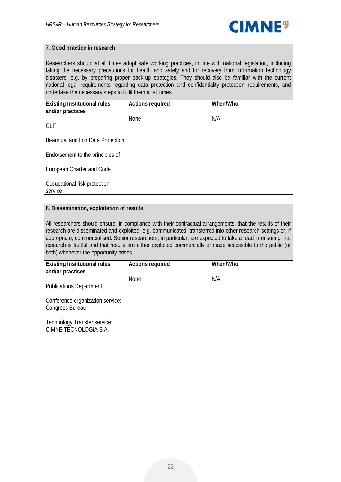

#### 7. Good practice in research

Researchers should at all times adopt safe working practices, in line with national legislation, including taking the necessary precautions for health and safety and for recovery from information technology disasters, e.g. by preparing proper back-up strategies. They should also be familiar with the current national legal requirements regarding data protection and confidentiality protection requirements, and undertake the necessary steps to fulfil them at all times.

| <b>Existing Institutional rules</b><br>and/or practices | <b>Actions required</b> | When/Who |
|---------------------------------------------------------|-------------------------|----------|
|                                                         |                         |          |
| <b>GLF</b>                                              | None                    | N/A      |
| Bi-annual audit on Data Protection                      |                         |          |
| Endorsement to the principles of                        |                         |          |
| European Charter and Code                               |                         |          |
| Occupational risk protection<br>service                 |                         |          |

#### 8. Dissemination, exploitation of results

All researchers should ensure, in compliance with their contractual arrangements, that the results of their research are disseminated and exploited, e.g. communicated, transferred into other research settings or, if appropriate, commercialised. Senior researchers, in particular, are expected to take a lead in ensuring that research is fruitful and that results are either exploited commercially or made accessible to the public (or both) whenever the opportunity arises.

| <b>Existing Institutional rules</b><br>and/or practices | <b>Actions required</b> | When/Who |
|---------------------------------------------------------|-------------------------|----------|
| <b>Publications Department</b>                          | None                    | N/A      |
| Conference organization service:<br>Congress Bureau     |                         |          |
| Technology Transfer service:<br>CIMNE TECNOLOGIA S.A.   |                         |          |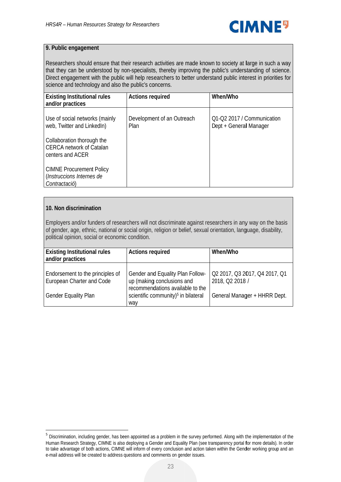#### 9. Public engagement

Researchers should ensure that their research activities are made known to society at large in such a way that they can be understood by non-specialists, thereby improving the public's understanding of science. Direct engagement with the public will help researchers to better understand public interest in priorities for science and technology and also the public's concerns.

| <b>Existing Institutional rules</b><br>and/or practices                           | <b>Actions required</b>            | When/Who                                             |
|-----------------------------------------------------------------------------------|------------------------------------|------------------------------------------------------|
| Use of social networks (mainly<br>web, Twitter and LinkedIn)                      | Development of an Outreach<br>Plan | Q1-Q2 2017 / Communication<br>Dept + General Manager |
| Collaboration thorough the<br><b>CERCA network of Catalan</b><br>centers and ACER |                                    |                                                      |
| <b>CIMNE Procurement Policy</b><br>(Instruccions Internes de<br>Contractació)     |                                    |                                                      |

#### 10. Non discrimination

Employers and/or funders of researchers will not discriminate against researchers in any way on the basis of gender, age, ethnic, national or social origin, religion or belief, sexual orientation, language, disability, political opinion, social or economic condition.

| <b>Existing Institutional rules</b><br>and/or practices                                      | <b>Actions required</b>                                                                                                                                      | When/Who                                                                         |
|----------------------------------------------------------------------------------------------|--------------------------------------------------------------------------------------------------------------------------------------------------------------|----------------------------------------------------------------------------------|
| Endorsement to the principles of<br>European Charter and Code<br><b>Gender Equality Plan</b> | Gender and Equality Plan Follow-<br>up (making conclusions and<br>recommendations available to the<br>scientific community) <sup>5</sup> in bilateral<br>wav | Q2 2017, Q3 2017, Q4 2017, Q1<br>2018, Q2 2018 /<br>General Manager + HHRR Dept. |

<sup>&</sup>lt;sup>5</sup> Discrimination, including gender, has been appointed as a problem in the survey performed. Along with the implementation of the Human Research Strategy, CIMNE is also deploying a Gender and Equality Plan (see transparency portal for more details). In order to take advantage of both actions, CIMNE will inform of every conclusion and action taken within the Gender working group and an e-mail address will be created to address questions and comments on gender issues.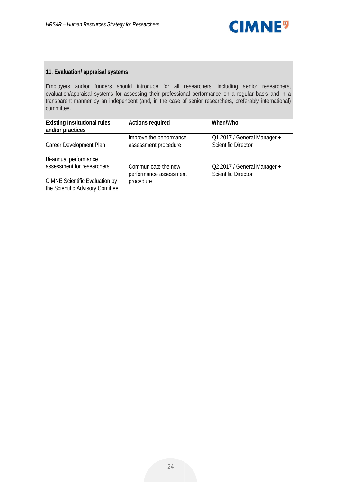

#### 11. Evaluation/ appraisal systems

Employers and/or funders should introduce for all researchers, including senior researchers, evaluation/appraisal systems for assessing their professional performance on a regular basis and in a transparent manner by an independent (and, in the case of senior researchers, preferably international) committee.

| <b>Existing Institutional rules</b><br>and/or practices                   | <b>Actions required</b>             | When/Who                    |
|---------------------------------------------------------------------------|-------------------------------------|-----------------------------|
|                                                                           | Improve the performance             | Q1 2017 / General Manager + |
| Career Development Plan                                                   | assessment procedure                | <b>Scientific Director</b>  |
| Bi-annual performance                                                     |                                     |                             |
| assessment for researchers                                                | Communicate the new                 | Q2 2017 / General Manager + |
| <b>CIMNE Scientific Evaluation by</b><br>the Scientific Advisory Comittee | performance assessment<br>procedure | <b>Scientific Director</b>  |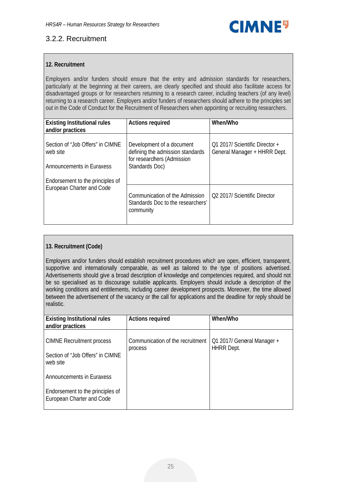

#### 3.2.2. Recruitment

#### 12. Recruitment

Employers and/or funders should ensure that the entry and admission standards for researchers. particularly at the beginning at their careers, are clearly specified and should also facilitate access for disadvantaged groups or for researchers returning to a research career, including teachers (of any level) returning to a research career. Employers and/or funders of researchers should adhere to the principles set out in the Code of Conduct for the Recruitment of Researchers when appointing or recruiting researchers.

| <b>Existing Institutional rules</b><br>and/or practices       | <b>Actions required</b>                                                                     | When/Who                                                       |
|---------------------------------------------------------------|---------------------------------------------------------------------------------------------|----------------------------------------------------------------|
| Section of "Job Offers" in CIMNE<br>web site                  | Development of a document<br>defining the admission standards<br>for researchers (Admission | Q1 2017/ Scientific Director +<br>General Manager + HHRR Dept. |
| Announcements in Euraxess<br>Endorsement to the principles of | Standards Doc)                                                                              |                                                                |
| European Charter and Code                                     | Communication of the Admission<br>Standards Doc to the researchers'<br>community            | Q2 2017/ Scientific Director                                   |

#### 13. Recruitment (Code)

Employers and/or funders should establish recruitment procedures which are open, efficient, transparent, supportive and internationally comparable, as well as tailored to the type of positions advertised. Advertisements should give a broad description of knowledge and competencies required, and should not be so specialised as to discourage suitable applicants. Employers should include a description of the working conditions and entitlements, including career development prospects. Moreover, the time allowed between the advertisement of the vacancy or the call for applications and the deadline for reply should be realistic.

| <b>Existing Institutional rules</b><br>and/or practices                                           | <b>Actions required</b>                     | When/Who                                        |
|---------------------------------------------------------------------------------------------------|---------------------------------------------|-------------------------------------------------|
| <b>CIMNE</b> Recruitment process<br>Section of "Job Offers" in CIMNE<br>web site                  | Communication of the recruitment<br>process | Q1 2017/ General Manager +<br><b>HHRR Dept.</b> |
| <b>Announcements in Euraxess</b><br>Endorsement to the principles of<br>European Charter and Code |                                             |                                                 |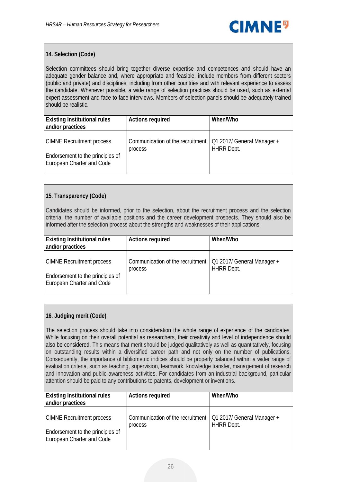

#### 14. Selection (Code)

Selection committees should bring together diverse expertise and competences and should have an adequate gender balance and, where appropriate and feasible, include members from different sectors (public and private) and disciplines, including from other countries and with relevant experience to assess the candidate. Whenever possible, a wide range of selection practices should be used, such as external expert assessment and face-to-face interviews. Members of selection panels should be adequately trained should be realistic

| <b>Existing Institutional rules</b><br>and/or practices                                           | <b>Actions required</b>                     | When/Who                                        |
|---------------------------------------------------------------------------------------------------|---------------------------------------------|-------------------------------------------------|
| <b>CIMNE Recruitment process</b><br>Endorsement to the principles of<br>European Charter and Code | Communication of the recruitment<br>process | Q1 2017/ General Manager +<br><b>HHRR</b> Dept. |

#### 15. Transparency (Code)

Candidates should be informed, prior to the selection, about the recruitment process and the selection criteria, the number of available positions and the career development prospects. They should also be informed after the selection process about the strengths and weaknesses of their applications.

| <b>Existing Institutional rules</b><br>and/or practices                                           | <b>Actions required</b>                                                  | When/Who          |
|---------------------------------------------------------------------------------------------------|--------------------------------------------------------------------------|-------------------|
| <b>CIMNE Recruitment process</b><br>Endorsement to the principles of<br>European Charter and Code | Communication of the recruitment   Q1 2017/ General Manager +<br>process | <b>HHRR</b> Dept. |

#### 16. Judging merit (Code)

The selection process should take into consideration the whole range of experience of the candidates. While focusing on their overall potential as researchers, their creativity and level of independence should also be considered. This means that merit should be judged qualitatively as well as quantitatively, focusing on outstanding results within a diversified career path and not only on the number of publications. Consequently, the importance of bibliometric indices should be properly balanced within a wider range of evaluation criteria, such as teaching, supervision, teamwork, knowledge transfer, management of research and innovation and public awareness activities. For candidates from an industrial background, particular attention should be paid to any contributions to patents, development or inventions.

| <b>Existing Institutional rules</b><br>and/or practices                                           | <b>Actions required</b>                     | When/Who                                        |
|---------------------------------------------------------------------------------------------------|---------------------------------------------|-------------------------------------------------|
| <b>CIMNE Recruitment process</b><br>Endorsement to the principles of<br>European Charter and Code | Communication of the recruitment<br>process | Q1 2017/ General Manager +<br><b>HHRR</b> Dept. |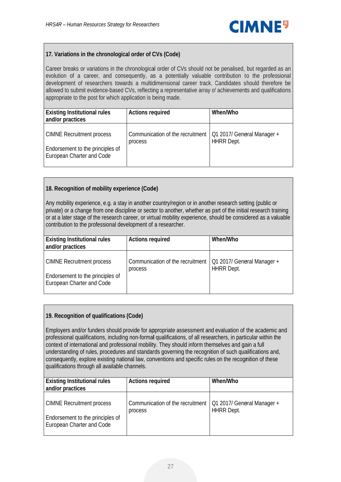#### 17. Variations in the chronological order of CVs (Code)

Career breaks or variations in the chronological order of CVs should not be penalised, but regarded as an evolution of a career, and consequently, as a potentially valuable contribution to the professional development of researchers towards a multidimensional career track. Candidates should therefore be allowed to submit evidence-based CVs, reflecting a representative array of achievements and qualifications appropriate to the post for which application is being made.

| <b>Existing Institutional rules</b><br>and/or practices                                           | <b>Actions required</b>                     | When/Who                                        |
|---------------------------------------------------------------------------------------------------|---------------------------------------------|-------------------------------------------------|
| <b>CIMNE Recruitment process</b><br>Endorsement to the principles of<br>European Charter and Code | Communication of the recruitment<br>process | Q1 2017/ General Manager +<br><b>HHRR</b> Dept. |

#### 18. Recognition of mobility experience (Code)

Any mobility experience, e.g. a stay in another country/region or in another research setting (public or private) or a change from one discipline or sector to another, whether as part of the initial research training or at a later stage of the research career, or virtual mobility experience, should be considered as a valuable contribution to the professional development of a researcher.

| <b>Existing Institutional rules</b><br>and/or practices                                           | <b>Actions required</b>                     | When/Who                                        |
|---------------------------------------------------------------------------------------------------|---------------------------------------------|-------------------------------------------------|
| <b>CIMNE</b> Recruitment process<br>Endorsement to the principles of<br>European Charter and Code | Communication of the recruitment<br>process | Q1 2017/ General Manager +<br><b>HHRR</b> Dept. |

#### 19. Recognition of qualifications (Code)

Employers and/or funders should provide for appropriate assessment and evaluation of the academic and professional qualifications, including non-formal qualifications, of all researchers, in particular within the context of international and professional mobility. They should inform themselves and gain a full understanding of rules, procedures and standards governing the recognition of such qualifications and, consequently, explore existing national law, conventions and specific rules on the recognition of these qualifications through all available channels.

| <b>Existing Institutional rules</b><br>and/or practices                                           | <b>Actions required</b>                                                  | When/Who          |
|---------------------------------------------------------------------------------------------------|--------------------------------------------------------------------------|-------------------|
| <b>CIMNE Recruitment process</b><br>Endorsement to the principles of<br>European Charter and Code | Communication of the recruitment   Q1 2017/ General Manager +<br>process | <b>HHRR</b> Dept. |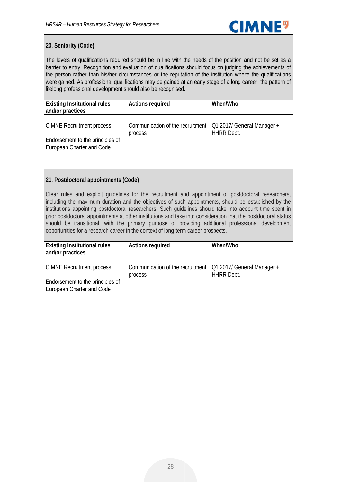

#### 20. Seniority (Code)

The levels of qualifications required should be in line with the needs of the position and not be set as a barrier to entry. Recognition and evaluation of qualifications should focus on judging the achievements of the person rather than his/her circumstances or the reputation of the institution where the qualifications were gained. As professional qualifications may be gained at an early stage of a long career, the pattern of lifelong professional development should also be recognised.

| <b>Existing Institutional rules</b><br>and/or practices                                           | <b>Actions required</b>                     | When/Who                                        |
|---------------------------------------------------------------------------------------------------|---------------------------------------------|-------------------------------------------------|
| <b>CIMNE</b> Recruitment process<br>Endorsement to the principles of<br>European Charter and Code | Communication of the recruitment<br>process | Q1 2017/ General Manager +<br><b>HHRR</b> Dept. |

#### 21. Postdoctoral appointments (Code)

Clear rules and explicit quidelines for the recruitment and appointment of postdoctoral researchers, including the maximum duration and the objectives of such appointments, should be established by the institutions appointing postdoctoral researchers. Such quidelines should take into account time spent in prior postdoctoral appointments at other institutions and take into consideration that the postdoctoral status should be transitional, with the primary purpose of providing additional professional development opportunities for a research career in the context of long-term career prospects.

| <b>Existing Institutional rules</b><br>and/or practices                                           | <b>Actions required</b>                     | When/Who                                        |
|---------------------------------------------------------------------------------------------------|---------------------------------------------|-------------------------------------------------|
| <b>CIMNE Recruitment process</b><br>Endorsement to the principles of<br>European Charter and Code | Communication of the recruitment<br>process | Q1 2017/ General Manager +<br><b>HHRR Dept.</b> |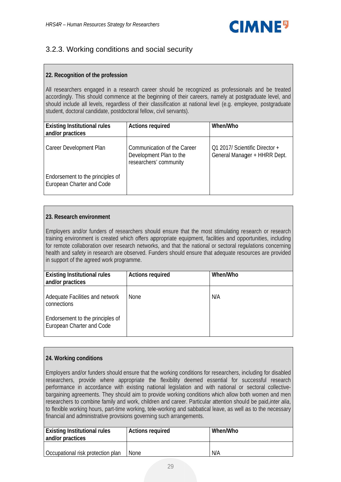

#### 3.2.3. Working conditions and social security

#### 22. Recognition of the profession

All researchers engaged in a research career should be recognized as professionals and be treated accordingly. This should commence at the beginning of their careers, namely at postgraduate level, and should include all levels, regardless of their classification at national level (e.g. employee, postgraduate student, doctoral candidate, postdoctoral fellow, civil servants).

| <b>Existing Institutional rules</b><br>and/or practices       | <b>Actions required</b>                                                          | When/Who                                                       |
|---------------------------------------------------------------|----------------------------------------------------------------------------------|----------------------------------------------------------------|
| Career Development Plan                                       | Communication of the Career<br>Development Plan to the<br>researchers' community | Q1 2017/ Scientific Director +<br>General Manager + HHRR Dept. |
| Endorsement to the principles of<br>European Charter and Code |                                                                                  |                                                                |

#### 23. Research environment

Employers and/or funders of researchers should ensure that the most stimulating research or research training environment is created which offers appropriate equipment, facilities and opportunities, including for remote collaboration over research networks, and that the national or sectoral regulations concerning health and safety in research are observed. Funders should ensure that adequate resources are provided in support of the agreed work programme.

| <b>Existing Institutional rules</b><br>and/or practices       | <b>Actions required</b> | When/Who |
|---------------------------------------------------------------|-------------------------|----------|
| Adequate Facilities and network<br>connections                | <b>None</b>             | N/A      |
| Endorsement to the principles of<br>European Charter and Code |                         |          |

#### 24. Working conditions

Employers and/or funders should ensure that the working conditions for researchers, including for disabled researchers, provide where appropriate the flexibility deemed essential for successful research performance in accordance with existing national legislation and with national or sectoral collectivebargaining agreements. They should aim to provide working conditions which allow both women and men researchers to combine family and work, children and career. Particular attention should be paid, inter alia, to flexible working hours, part-time working, tele-working and sabbatical leave, as well as to the necessary financial and administrative provisions governing such arrangements.

| <b>Existing Institutional rules</b><br>and/or practices | <b>Actions required</b> | When/Who |
|---------------------------------------------------------|-------------------------|----------|
| Occupational risk protection plan                       | <b>None</b>             | N/A      |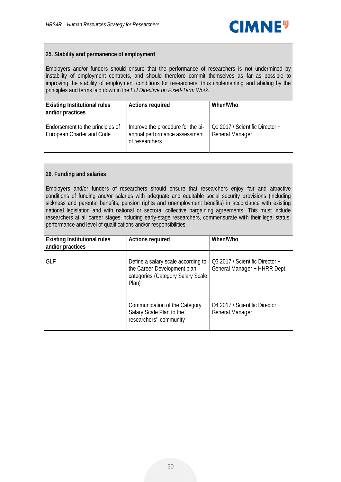

#### 25. Stability and permanence of employment

Employers and/or funders should ensure that the performance of researchers is not undermined by instability of employment contracts, and should therefore commit themselves as far as possible to improving the stability of employment conditions for researchers, thus implementing and abiding by the principles and terms laid down in the EU Directive on Fixed-Term Work.

| <b>Existing Institutional rules</b><br>and/or practices       | <b>Actions required</b>                                                              | When/Who                                                  |
|---------------------------------------------------------------|--------------------------------------------------------------------------------------|-----------------------------------------------------------|
| Endorsement to the principles of<br>European Charter and Code | Improve the procedure for the bi-<br>annual performance assessment<br>of researchers | Q1 2017 / Scientific Director +<br><b>General Manager</b> |

#### 26. Funding and salaries

Employers and/or funders of researchers should ensure that researchers enjoy fair and attractive conditions of funding and/or salaries with adequate and equitable social security provisions (including sickness and parental benefits, pension rights and unemployment benefits) in accordance with existing national legislation and with national or sectoral collective bargaining agreements. This must include researchers at all career stages including early-stage researchers, commensurate with their legal status, performance and level of qualifications and/or responsibilities.

| <b>Existing Institutional rules</b><br>and/or practices | <b>Actions required</b>                                                                                         | When/Who                                                        |
|---------------------------------------------------------|-----------------------------------------------------------------------------------------------------------------|-----------------------------------------------------------------|
| <b>GLF</b>                                              | Define a salary scale according to<br>the Career Development plan<br>categories (Category Salary Scale<br>Plan) | Q3 2017 / Scientific Director +<br>General Manager + HHRR Dept. |
|                                                         | Communication of the Category<br>Salary Scale Plan to the<br>researchers" community                             | Q4 2017 / Scientific Director +<br><b>General Manager</b>       |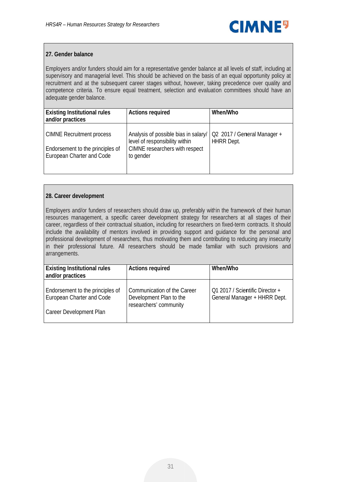

#### 27. Gender balance

Employers and/or funders should aim for a representative gender balance at all levels of staff, including at supervisory and managerial level. This should be achieved on the basis of an equal opportunity policy at recruitment and at the subsequent career stages without, however, taking precedence over quality and competence criteria. To ensure equal treatment, selection and evaluation committees should have an adequate gender balance.

| <b>Existing Institutional rules</b><br>and/or practices                                           | <b>Actions required</b>                                                                                               | When/Who                                         |
|---------------------------------------------------------------------------------------------------|-----------------------------------------------------------------------------------------------------------------------|--------------------------------------------------|
| <b>CIMNE Recruitment process</b><br>Endorsement to the principles of<br>European Charter and Code | Analysis of possible bias in salary/<br>level of responsibility within<br>CIMNE researchers with respect<br>to gender | Q2 2017 / General Manager +<br><b>HHRR</b> Dept. |

#### 28. Career development

Employers and/or funders of researchers should draw up, preferably within the framework of their human resources management, a specific career development strategy for researchers at all stages of their career, regardless of their contractual situation, including for researchers on fixed-term contracts, It should include the availability of mentors involved in providing support and guidance for the personal and professional development of researchers, thus motivating them and contributing to reducing any insecurity in their professional future. All researchers should be made familiar with such provisions and arrangements.

| <b>Existing Institutional rules</b><br>and/or practices                                  | <b>Actions required</b>                                                          | When/Who                                                        |
|------------------------------------------------------------------------------------------|----------------------------------------------------------------------------------|-----------------------------------------------------------------|
| Endorsement to the principles of<br>European Charter and Code<br>Career Development Plan | Communication of the Career<br>Development Plan to the<br>researchers' community | Q1 2017 / Scientific Director +<br>General Manager + HHRR Dept. |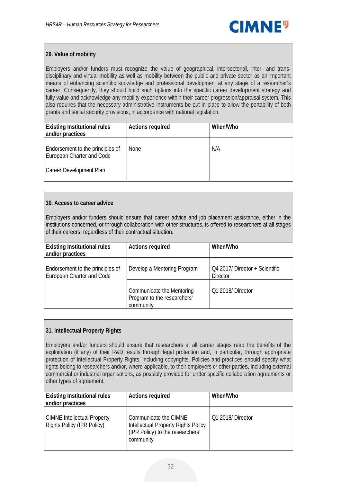

#### 29. Value of mobility

Employers and/or funders must recognize the value of geographical, intersectorial, inter- and transdisciplinary and virtual mobility as well as mobility between the public and private sector as an important means of enhancing scientific knowledge and professional development at any stage of a researcher's career. Consequently, they should build such options into the specific career development strategy and fully value and acknowledge any mobility experience within their career progression/appraisal system. This also requires that the necessary administrative instruments be put in place to allow the portability of both grants and social security provisions, in accordance with national legislation.

| <b>Existing Institutional rules</b><br>and/or practices                                  | <b>Actions required</b> | When/Who |
|------------------------------------------------------------------------------------------|-------------------------|----------|
| Endorsement to the principles of<br>European Charter and Code<br>Career Development Plan | <b>None</b>             | N/A      |

#### 30. Access to career advice

Employers and/or funders should ensure that career advice and job placement assistance, either in the institutions concerned, or through collaboration with other structures, is offered to researchers at all stages of their careers, regardless of their contractual situation.

| <b>Existing Institutional rules</b><br>and/or practices       | <b>Actions required</b>                                               | When/Who                                          |
|---------------------------------------------------------------|-----------------------------------------------------------------------|---------------------------------------------------|
| Endorsement to the principles of<br>European Charter and Code | Develop a Mentoring Program                                           | Q4 2017/ Director + Scientific<br><b>Director</b> |
|                                                               | Communicate the Mentoring<br>Program to the researchers'<br>community | Q1 2018/ Director                                 |

#### 31. Intellectual Property Rights

Employers and/or funders should ensure that researchers at all career stages reap the benefits of the exploitation (if any) of their R&D results through legal protection and, in particular, through appropriate protection of Intellectual Property Rights, including copyrights. Policies and practices should specify what rights belong to researchers and/or, where applicable, to their employers or other parties, including external commercial or industrial organisations, as possibly provided for under specific collaboration agreements or other types of agreement.

| <b>Existing Institutional rules</b><br>and/or practices          | <b>Actions required</b>                                                                                       | When/Who         |
|------------------------------------------------------------------|---------------------------------------------------------------------------------------------------------------|------------------|
| <b>CIMNE</b> Intellectual Property<br>Rights Policy (IPR Policy) | Communicate the CIMNE<br>Intellectual Property Rights Policy<br>(IPR Policy) to the researchers'<br>community | Q1 2018/Director |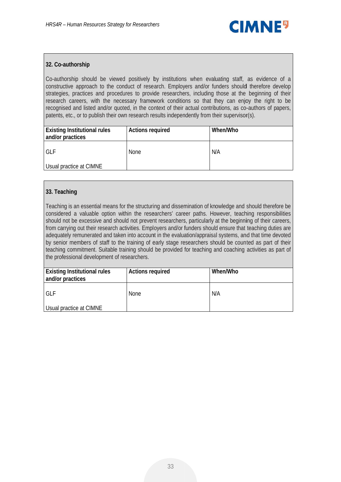

#### 32. Co-authorship

Co-authorship should be viewed positively by institutions when evaluating staff, as evidence of a constructive approach to the conduct of research. Employers and/or funders should therefore develop strategies, practices and procedures to provide researchers, including those at the beginning of their research careers, with the necessary framework conditions so that they can enjoy the right to be recognised and listed and/or quoted, in the context of their actual contributions, as co-authors of papers, patents, etc., or to publish their own research results independently from their supervisor(s).

| <b>Existing Institutional rules</b><br>and/or practices | <b>Actions required</b> | When/Who |
|---------------------------------------------------------|-------------------------|----------|
| <b>GLF</b>                                              | <b>None</b>             | N/A      |
| Usual practice at CIMNE                                 |                         |          |

#### 33. Teaching

Teaching is an essential means for the structuring and dissemination of knowledge and should therefore be considered a valuable option within the researchers' career paths. However, teaching responsibilities should not be excessive and should not prevent researchers, particularly at the beginning of their careers, from carrying out their research activities. Employers and/or funders should ensure that teaching duties are adequately remunerated and taken into account in the evaluation/appraisal systems, and that time devoted by senior members of staff to the training of early stage researchers should be counted as part of their teaching commitment. Suitable training should be provided for teaching and coaching activities as part of the professional development of researchers.

| <b>Existing Institutional rules</b><br>and/or practices | <b>Actions required</b> | When/Who |
|---------------------------------------------------------|-------------------------|----------|
| <b>GLF</b>                                              | <b>None</b>             | N/A      |
| Usual practice at CIMNE                                 |                         |          |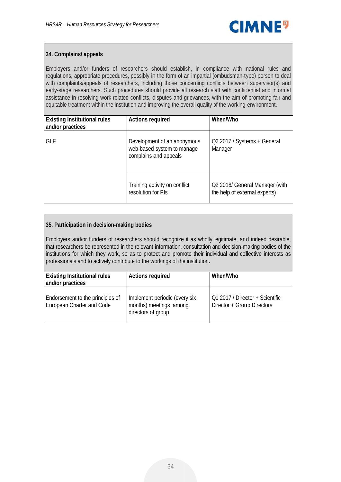

#### 34. Complains/ appeals

Employers and/or funders of researchers should establish, in compliance with national rules and regulations, appropriate procedures, possibly in the form of an impartial (ombudsman-type) person to deal with complaints/appeals of researchers, including those concerning conflicts between supervisor(s) and early-stage researchers. Such procedures should provide all research staff with confidential and informal assistance in resolving work-related conflicts, disputes and grievances, with the aim of promoting fair and equitable treatment within the institution and improving the overall quality of the working environment.

| <b>Existing Institutional rules</b><br>and/or practices | <b>Actions required</b>                                                            | When/Who                                                        |
|---------------------------------------------------------|------------------------------------------------------------------------------------|-----------------------------------------------------------------|
| <b>GLF</b>                                              | Development of an anonymous<br>web-based system to manage<br>complains and appeals | Q2 2017 / Systems + General<br>Manager                          |
|                                                         | Training activity on conflict<br>resolution for PIs                                | Q2 2018/ General Manager (with<br>the help of external experts) |

#### 35. Participation in decision-making bodies

Employers and/or funders of researchers should recognize it as wholly legitimate, and indeed desirable, that researchers be represented in the relevant information, consultation and decision-making bodies of the institutions for which they work, so as to protect and promote their individual and collective interests as professionals and to actively contribute to the workings of the institution.

| <b>Existing Institutional rules</b><br>and/or practices       | <b>Actions required</b>                                                       | When/Who                                                      |
|---------------------------------------------------------------|-------------------------------------------------------------------------------|---------------------------------------------------------------|
| Endorsement to the principles of<br>European Charter and Code | Implement periodic (every six<br>months) meetings among<br>directors of group | O1 2017 / Director + Scientific<br>Director + Group Directors |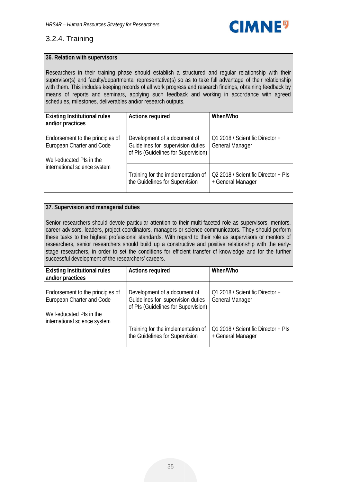

#### 3.2.4. Training

#### 36. Relation with supervisors

Researchers in their training phase should establish a structured and regular relationship with their supervisor(s) and faculty/departmental representative(s) so as to take full advantage of their relationship with them. This includes keeping records of all work progress and research findings, obtaining feedback by means of reports and seminars, applying such feedback and working in accordance with agreed schedules, milestones, deliverables and/or research outputs.

| <b>Existing Institutional rules</b><br>and/or practices                                   | <b>Actions required</b>                                                                                  | When/Who                                                  |
|-------------------------------------------------------------------------------------------|----------------------------------------------------------------------------------------------------------|-----------------------------------------------------------|
| Endorsement to the principles of<br>European Charter and Code<br>Well-educated PIs in the | Development of a document of<br>Guidelines for supervision duties<br>of PIs (Guidelines for Supervision) | Q1 2018 / Scientific Director +<br><b>General Manager</b> |
| international science system                                                              | Training for the implementation of<br>the Guidelines for Supervision                                     | Q2 2018 / Scientific Director + PIs<br>+ General Manager  |

#### 37. Supervision and managerial duties

Senior researchers should devote particular attention to their multi-faceted role as supervisors, mentors, career advisors, leaders, project coordinators, managers or science communicators. They should perform these tasks to the highest professional standards. With regard to their role as supervisors or mentors of researchers, senior researchers should build up a constructive and positive relationship with the earlystage researchers, in order to set the conditions for efficient transfer of knowledge and for the further successful development of the researchers' careers.

| <b>Existing Institutional rules</b><br>and/or practices                                   | <b>Actions required</b>                                                                                  | When/Who                                                  |
|-------------------------------------------------------------------------------------------|----------------------------------------------------------------------------------------------------------|-----------------------------------------------------------|
| Endorsement to the principles of<br>European Charter and Code<br>Well-educated PIs in the | Development of a document of<br>Guidelines for supervision duties<br>of PIs (Guidelines for Supervision) | Q1 2018 / Scientific Director +<br><b>General Manager</b> |
| international science system                                                              | Training for the implementation of<br>the Guidelines for Supervision                                     | Q1 2018 / Scientific Director + PIs<br>+ General Manager  |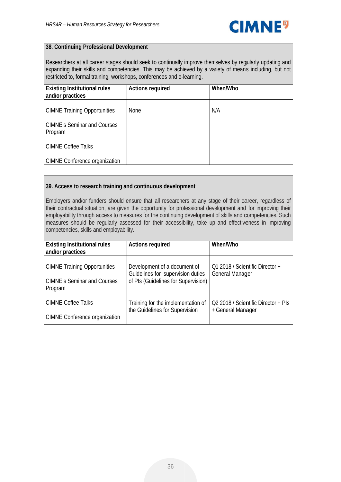

#### 38. Continuing Professional Development

Researchers at all career stages should seek to continually improve themselves by regularly updating and expanding their skills and competencies. This may be achieved by a variety of means including, but not restricted to, formal training, workshops, conferences and e-learning.

| <b>Existing Institutional rules</b><br>and/or practices | <b>Actions required</b> | When/Who |
|---------------------------------------------------------|-------------------------|----------|
| <b>CIMNE Training Opportunities</b>                     | <b>None</b>             | N/A      |
| <b>CIMNE's Seminar and Courses</b><br>Program           |                         |          |
| <b>CIMNE Coffee Talks</b>                               |                         |          |
| <b>CIMNE Conference organization</b>                    |                         |          |

#### 39. Access to research training and continuous development

Employers and/or funders should ensure that all researchers at any stage of their career, regardless of their contractual situation, are given the opportunity for professional development and for improving their employability through access to measures for the continuing development of skills and competencies. Such measures should be regularly assessed for their accessibility, take up and effectiveness in improving competencies, skills and employability.

| <b>Existing Institutional rules</b><br>and/or practices                              | <b>Actions required</b>                                                                                  | When/Who                                                 |
|--------------------------------------------------------------------------------------|----------------------------------------------------------------------------------------------------------|----------------------------------------------------------|
| <b>CIMNE Training Opportunities</b><br><b>CIMNE's Seminar and Courses</b><br>Program | Development of a document of<br>Guidelines for supervision duties<br>of PIs (Guidelines for Supervision) | Q1 2018 / Scientific Director +<br>General Manager       |
| <b>CIMNE Coffee Talks</b><br><b>CIMNE Conference organization</b>                    | Training for the implementation of<br>the Guidelines for Supervision                                     | Q2 2018 / Scientific Director + PIs<br>+ General Manager |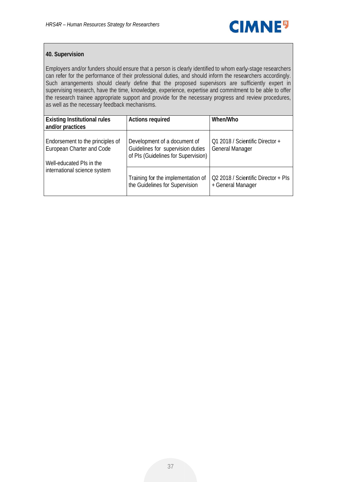

#### 40. Supervision

Employers and/or funders should ensure that a person is clearly identified to whom early-stage researchers can refer for the performance of their professional duties, and should inform the researchers accordingly. Such arrangements should clearly define that the proposed supervisors are sufficiently expert in supervising research, have the time, knowledge, experience, expertise and commitment to be able to offer the research trainee appropriate support and provide for the necessary progress and review procedures, as well as the necessary feedback mechanisms.

| <b>Existing Institutional rules</b><br>and/or practices                                   | <b>Actions required</b>                                                                                  | When/Who                                                  |
|-------------------------------------------------------------------------------------------|----------------------------------------------------------------------------------------------------------|-----------------------------------------------------------|
| Endorsement to the principles of<br>European Charter and Code<br>Well-educated PIs in the | Development of a document of<br>Guidelines for supervision duties<br>of PIs (Guidelines for Supervision) | Q1 2018 / Scientific Director +<br><b>General Manager</b> |
| international science system                                                              | Training for the implementation of<br>the Guidelines for Supervision                                     | Q2 2018 / Scientific Director + PIs<br>+ General Manager  |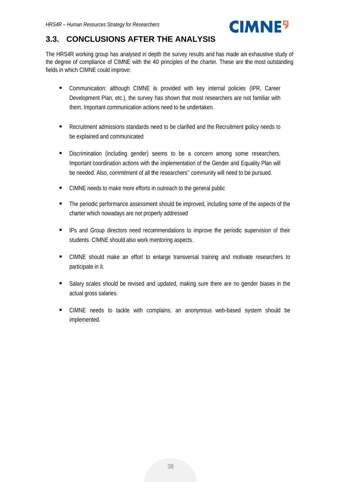

#### **CONCLUSIONS AFTER THE ANALYSIS**  $3.3.$

The HRS4R working group has analysed in depth the survey results and has made an exhaustive study of the degree of compliance of CIMNE with the 40 principles of the charter. These are the most outstanding fields in which CIMNE could improve:

- $\blacksquare$ Communication: although CIMNE is provided with key internal policies (IPR, Career Development Plan, etc.), the survey has shown that most researchers are not familiar with them. Important communication actions need to be undertaken.
- Recruitment admissions standards need to be clarified and the Recruitment policy needs to be explained and communicated
- $\blacksquare$ Discrimination (including gender) seems to be a concern among some researchers. Important coordination actions with the implementation of the Gender and Equality Plan will be needed. Also, commitment of all the researchers" community will need to be pursued.
- CIMNE needs to make more efforts in outreach to the general public
- The periodic performance assessment should be improved, including some of the aspects of the charter which nowadays are not properly addressed
- IPs and Group directors need recommendations to improve the periodic supervision of their students. CIMNE should also work mentoring aspects.
- CIMNE should make an effort to enlarge transversal training and motivate researchers to participate in it.
- Salary scales should be revised and updated, making sure there are no gender biases in the actual gross salaries.
- CIMNE needs to tackle with complains; an anonymous web-based system should be implemented.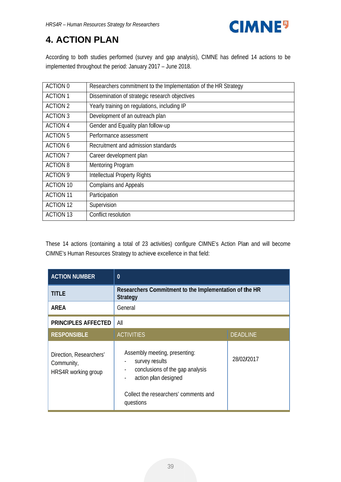

## **4. ACTION PLAN**

According to both studies performed (survey and gap analysis), CIMNE has defined 14 actions to be implemented throughout the period: January 2017 - June 2018.

| ACTION 0         | Researchers commitment to the Implementation of the HR Strategy |
|------------------|-----------------------------------------------------------------|
| <b>ACTION 1</b>  | Dissemination of strategic research objectives                  |
| <b>ACTION 2</b>  | Yearly training on regulations, including IP                    |
| <b>ACTION 3</b>  | Development of an outreach plan                                 |
| <b>ACTION 4</b>  | Gender and Equality plan follow-up                              |
| <b>ACTION 5</b>  | Performance assessment                                          |
| <b>ACTION 6</b>  | Recruitment and admission standards                             |
| <b>ACTION 7</b>  | Career development plan                                         |
| <b>ACTION 8</b>  | Mentoring Program                                               |
| <b>ACTION 9</b>  | <b>Intellectual Property Rights</b>                             |
| <b>ACTION 10</b> | <b>Complains and Appeals</b>                                    |
| <b>ACTION 11</b> | Participation                                                   |
| <b>ACTION 12</b> | Supervision                                                     |
| <b>ACTION 13</b> | Conflict resolution                                             |

These 14 actions (containing a total of 23 activities) configure CIMNE's Action Plan and will become CIMNE's Human Resources Strategy to achieve excellence in that field:

| <b>ACTION NUMBER</b>                                         | $\mathbf 0$                                                                                                                                                      |                 |
|--------------------------------------------------------------|------------------------------------------------------------------------------------------------------------------------------------------------------------------|-----------------|
| <b>TITLE</b>                                                 | Researchers Commitment to the Implementation of the HR<br>Strategy                                                                                               |                 |
| <b>AREA</b>                                                  | General                                                                                                                                                          |                 |
| <b>PRINCIPLES AFFECTED</b>                                   | All                                                                                                                                                              |                 |
| <b>RESPONSIBLE</b>                                           | <b>ACTIVITIES</b>                                                                                                                                                | <b>DEADLINE</b> |
| Direction, Researchers'<br>Community,<br>HRS4R working group | Assembly meeting, presenting:<br>survey results<br>conclusions of the gap analysis<br>action plan designed<br>Collect the researchers' comments and<br>questions | 28/02/2017      |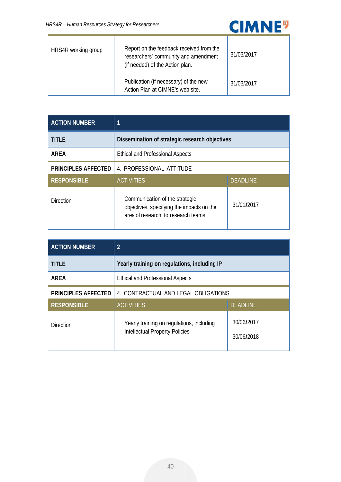

| HRS4R working group | Report on the feedback received from the<br>researchers' community and amendment<br>(if needed) of the Action plan. | 31/03/2017 |
|---------------------|---------------------------------------------------------------------------------------------------------------------|------------|
|                     | Publication (if necessary) of the new<br>Action Plan at CIMNE's web site.                                           | 31/03/2017 |

| <b>ACTION NUMBER</b>       | 1                                                                                                                   |            |
|----------------------------|---------------------------------------------------------------------------------------------------------------------|------------|
| TITLE                      | Dissemination of strategic research objectives                                                                      |            |
| <b>AREA</b>                | <b>Ethical and Professional Aspects</b>                                                                             |            |
| <b>PRINCIPLES AFFECTED</b> | 4. PROFESSIONAL ATTITUDE                                                                                            |            |
| <b>RESPONSIBLE</b>         | <b>ACTIVITIES</b><br><b>DEADLINE</b>                                                                                |            |
| <b>Direction</b>           | Communication of the strategic<br>objectives, specifying the impacts on the<br>area of research, to research teams. | 31/01/2017 |

| <b>ACTION NUMBER</b>       | $\overline{2}$                                                                     |                          |
|----------------------------|------------------------------------------------------------------------------------|--------------------------|
| <b>TITLE</b>               | Yearly training on regulations, including IP                                       |                          |
| <b>AREA</b>                | <b>Ethical and Professional Aspects</b>                                            |                          |
| <b>PRINCIPLES AFFECTED</b> | 4. CONTRACTUAL AND LEGAL OBLIGATIONS                                               |                          |
| <b>RESPONSIBLE</b>         | <b>ACTIVITIES</b><br><b>DEADLINE</b>                                               |                          |
| <b>Direction</b>           | Yearly training on regulations, including<br><b>Intellectual Property Policies</b> | 30/06/2017<br>30/06/2018 |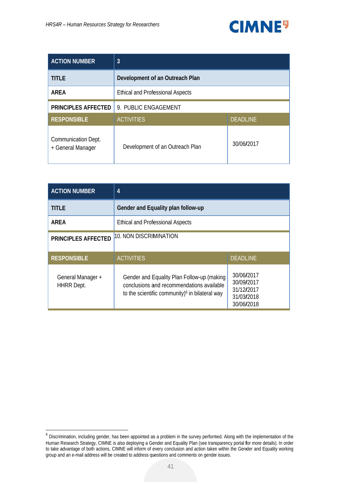

| <b>ACTION NUMBER</b>                     | 3                                       |            |
|------------------------------------------|-----------------------------------------|------------|
| <b>TITLE</b>                             | Development of an Outreach Plan         |            |
| <b>AREA</b>                              | <b>Ethical and Professional Aspects</b> |            |
| <b>PRINCIPLES AFFECTED</b>               | 9. PUBLIC ENGAGEMENT                    |            |
| <b>RESPONSIBLE</b>                       | <b>ACTIVITIES</b><br><b>DEADLINE</b>    |            |
| Communication Dept.<br>+ General Manager | Development of an Outreach Plan         | 30/06/2017 |

| <b>ACTION NUMBER</b>                   | 4                                                                                                                                                     |                                                                    |
|----------------------------------------|-------------------------------------------------------------------------------------------------------------------------------------------------------|--------------------------------------------------------------------|
| TITLE                                  | Gender and Equality plan follow-up                                                                                                                    |                                                                    |
| <b>AREA</b>                            | <b>Ethical and Professional Aspects</b>                                                                                                               |                                                                    |
| <b>PRINCIPLES AFFECTED</b>             | 10. NON DISCRIMINATION                                                                                                                                |                                                                    |
| <b>RESPONSIBLE</b>                     | <b>ACTIVITIES</b>                                                                                                                                     | <b>DEADLINE</b>                                                    |
| General Manager +<br><b>HHRR</b> Dept. | Gender and Equality Plan Follow-up (making<br>conclusions and recommendations available<br>to the scientific community) <sup>6</sup> in bilateral way | 30/06/2017<br>30/09/2017<br>31/12/2017<br>31/03/2018<br>30/06/2018 |

<sup>&</sup>lt;sup>6</sup> Discrimination, including gender, has been appointed as a problem in the survey performed. Along with the implementation of the Human Research Strategy, CIMNE is also deploying a Gender and Equality Plan (see transpare to take advantage of both actions, CIMNE will inform of every conclusion and action taken within the Gender and Equality working group and an e-mail address will be created to address questions and comments on gender issues.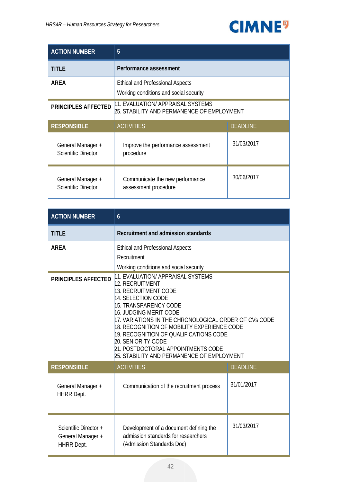## **CIMNE<sup>9</sup>**

ų,

| <b>ACTION NUMBER</b>                            | 5                                                                                 |                 |
|-------------------------------------------------|-----------------------------------------------------------------------------------|-----------------|
| <b>TITLE</b>                                    | Performance assessment                                                            |                 |
| <b>AREA</b>                                     | <b>Ethical and Professional Aspects</b><br>Working conditions and social security |                 |
| <b>PRINCIPLES AFFECTED</b>                      | 11. EVALUATION/ APPRAISAL SYSTEMS<br>25. STABILITY AND PERMANENCE OF EMPLOYMENT   |                 |
| <b>RESPONSIBLE</b>                              | <b>ACTIVITIES</b>                                                                 | <b>DEADLINE</b> |
| General Manager +<br><b>Scientific Director</b> | Improve the performance assessment<br>procedure                                   | 31/03/2017      |
| General Manager +<br><b>Scientific Director</b> | Communicate the new performance<br>assessment procedure                           | 30/06/2017      |

| <b>ACTION NUMBER</b>                                            | $\mathbf{6}$                                                                                                                                                                                                                                                                                                                                                                                                             |                 |
|-----------------------------------------------------------------|--------------------------------------------------------------------------------------------------------------------------------------------------------------------------------------------------------------------------------------------------------------------------------------------------------------------------------------------------------------------------------------------------------------------------|-----------------|
| <b>TITLE</b>                                                    | Recruitment and admission standards                                                                                                                                                                                                                                                                                                                                                                                      |                 |
| <b>AREA</b>                                                     | <b>Ethical and Professional Aspects</b><br>Recruitment<br>Working conditions and social security                                                                                                                                                                                                                                                                                                                         |                 |
| <b>PRINCIPLES AFFECTED</b>                                      | 11. EVALUATION/ APPRAISAL SYSTEMS<br>12. RECRUITMENT<br>13. RECRUITMENT CODE<br>14. SELECTION CODE<br>15. TRANSPARENCY CODE<br><b>16. JUDGING MERIT CODE</b><br>17. VARIATIONS IN THE CHRONOLOGICAL ORDER OF CVs CODE<br>18. RECOGNITION OF MOBILITY EXPERIENCE CODE<br>19. RECOGNITION OF QUALIFICATIONS CODE<br>20. SENIORITY CODE<br>21. POSTDOCTORAL APPOINTMENTS CODE<br>25. STABILITY AND PERMANENCE OF EMPLOYMENT |                 |
| <b>RESPONSIBLE</b>                                              | <b>ACTIVITIES</b>                                                                                                                                                                                                                                                                                                                                                                                                        | <b>DEADLINE</b> |
| General Manager +<br><b>HHRR Dept.</b>                          | Communication of the recruitment process                                                                                                                                                                                                                                                                                                                                                                                 | 31/01/2017      |
| Scientific Director +<br>General Manager +<br><b>HHRR Dept.</b> | Development of a document defining the<br>admission standards for researchers<br>(Admission Standards Doc)                                                                                                                                                                                                                                                                                                               | 31/03/2017      |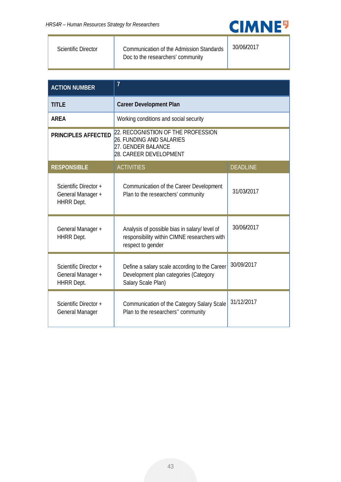

| Communication of the Admission Standards<br>Doc to the researchers' community | 30/06/2017 |
|-------------------------------------------------------------------------------|------------|
|                                                                               |            |

| <b>ACTION NUMBER</b>                                            | 7                                                                                                                 |                 |  |  |
|-----------------------------------------------------------------|-------------------------------------------------------------------------------------------------------------------|-----------------|--|--|
| <b>TITLE</b>                                                    | <b>Career Development Plan</b>                                                                                    |                 |  |  |
| <b>AREA</b>                                                     | Working conditions and social security                                                                            |                 |  |  |
| <b>PRINCIPLES AFFECTED</b>                                      | 22. RECOGNISTION OF THE PROFESSION<br>26. FUNDING AND SALARIES<br>27. GENDER BALANCE<br>28. CAREER DEVELOPMENT    |                 |  |  |
| <b>RESPONSIBLE</b>                                              | <b>ACTIVITIES</b>                                                                                                 | <b>DEADLINE</b> |  |  |
| Scientific Director +<br>General Manager +<br><b>HHRR Dept.</b> | Communication of the Career Development<br>Plan to the researchers' community                                     | 31/03/2017      |  |  |
| General Manager +<br><b>HHRR Dept.</b>                          | Analysis of possible bias in salary/level of<br>responsibility within CIMNE researchers with<br>respect to gender | 30/06/2017      |  |  |
| Scientific Director +<br>General Manager +<br><b>HHRR Dept.</b> | Define a salary scale according to the Career<br>Development plan categories (Category<br>Salary Scale Plan)      | 30/09/2017      |  |  |
| Scientific Director +<br><b>General Manager</b>                 | Communication of the Category Salary Scale<br>Plan to the researchers" community                                  | 31/12/2017      |  |  |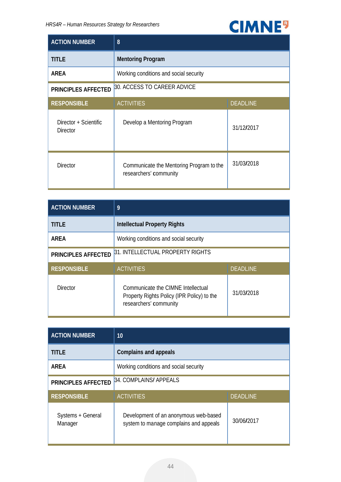

| <b>ACTION NUMBER</b>                                      | 8                                                                  |                 |  |  |
|-----------------------------------------------------------|--------------------------------------------------------------------|-----------------|--|--|
| <b>TITLE</b>                                              | <b>Mentoring Program</b>                                           |                 |  |  |
| <b>AREA</b>                                               | Working conditions and social security                             |                 |  |  |
| 30. ACCESS TO CAREER ADVICE<br><b>PRINCIPLES AFFECTED</b> |                                                                    |                 |  |  |
| <b>RESPONSIBLE</b>                                        | <b>ACTIVITIES</b>                                                  | <b>DEADLINE</b> |  |  |
| Director + Scientific<br><b>Director</b>                  | Develop a Mentoring Program                                        | 31/12/2017      |  |  |
| <b>Director</b>                                           | Communicate the Mentoring Program to the<br>researchers' community | 31/03/2018      |  |  |

| <b>ACTION NUMBER</b>                                           | 9                                                                                                          |                 |  |  |
|----------------------------------------------------------------|------------------------------------------------------------------------------------------------------------|-----------------|--|--|
| <b>TITLE</b>                                                   | <b>Intellectual Property Rights</b>                                                                        |                 |  |  |
| <b>AREA</b>                                                    | Working conditions and social security                                                                     |                 |  |  |
| 31. INTELLECTUAL PROPERTY RIGHTS<br><b>PRINCIPLES AFFECTED</b> |                                                                                                            |                 |  |  |
| <b>RESPONSIBLE</b>                                             | <b>ACTIVITIES</b>                                                                                          | <b>DEADLINE</b> |  |  |
| <b>Director</b>                                                | Communicate the CIMNE Intellectual<br>Property Rights Policy (IPR Policy) to the<br>researchers' community | 31/03/2018      |  |  |

| <b>ACTION NUMBER</b>                          | 10                                                                              |                 |  |  |
|-----------------------------------------------|---------------------------------------------------------------------------------|-----------------|--|--|
| <b>TITLE</b>                                  | <b>Complains and appeals</b>                                                    |                 |  |  |
| <b>AREA</b>                                   | Working conditions and social security                                          |                 |  |  |
| 34. COMPLAINS/ APPEALS<br>PRINCIPLES AFFECTED |                                                                                 |                 |  |  |
| <b>RESPONSIBLE</b>                            | <b>ACTIVITIES</b>                                                               | <b>DEADLINE</b> |  |  |
| Systems + General<br>Manager                  | Development of an anonymous web-based<br>system to manage complains and appeals | 30/06/2017      |  |  |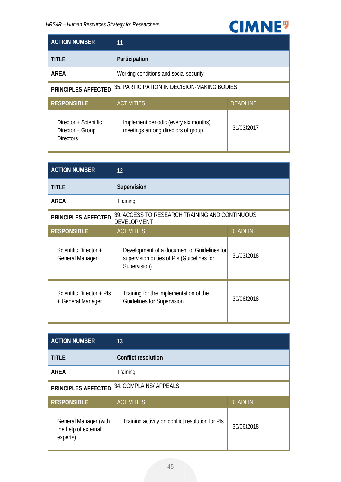

| <b>ACTION NUMBER</b>                                          | 11                                                                         |                 |  |  |
|---------------------------------------------------------------|----------------------------------------------------------------------------|-----------------|--|--|
| <b>TITLE</b>                                                  | Participation                                                              |                 |  |  |
| <b>AREA</b>                                                   | Working conditions and social security                                     |                 |  |  |
| <b>PRINCIPLES AFFECTED</b>                                    | 35. PARTICIPATION IN DECISION-MAKING BODIES                                |                 |  |  |
| <b>RESPONSIBLE</b>                                            | <b>ACTIVITIES</b>                                                          | <b>DEADLINE</b> |  |  |
| Director + Scientific<br>Director + Group<br><b>Directors</b> | Implement periodic (every six months)<br>meetings among directors of group | 31/03/2017      |  |  |

| <b>ACTION NUMBER</b>                                                                               | 12                                                                                                       |                 |  |  |
|----------------------------------------------------------------------------------------------------|----------------------------------------------------------------------------------------------------------|-----------------|--|--|
| <b>TITLE</b>                                                                                       | Supervision                                                                                              |                 |  |  |
| <b>AREA</b>                                                                                        | Training                                                                                                 |                 |  |  |
| 39. ACCESS TO RESEARCH TRAINING AND CONTINUOUS<br><b>PRINCIPLES AFFECTED</b><br><b>DEVELOPMENT</b> |                                                                                                          |                 |  |  |
| <b>RESPONSIBLE</b>                                                                                 | <b>ACTIVITIES</b>                                                                                        | <b>DEADLINE</b> |  |  |
| Scientific Director +<br><b>General Manager</b>                                                    | Development of a document of Guidelines for<br>supervision duties of PIs (Guidelines for<br>Supervision) | 31/03/2018      |  |  |
| Scientific Director + PIs<br>+ General Manager                                                     | Training for the implementation of the<br>Guidelines for Supervision                                     | 30/06/2018      |  |  |

| <b>ACTION NUMBER</b>                                      | 13                                               |                 |  |  |
|-----------------------------------------------------------|--------------------------------------------------|-----------------|--|--|
| TITLE                                                     | <b>Conflict resolution</b>                       |                 |  |  |
| <b>AREA</b>                                               | Training                                         |                 |  |  |
| 34. COMPLAINS/ APPEALS<br><b>PRINCIPLES AFFECTED</b>      |                                                  |                 |  |  |
| <b>RESPONSIBLE</b>                                        | <b>ACTIVITIES</b>                                | <b>DEADLINE</b> |  |  |
| General Manager (with<br>the help of external<br>experts) | Training activity on conflict resolution for PIs | 30/06/2018      |  |  |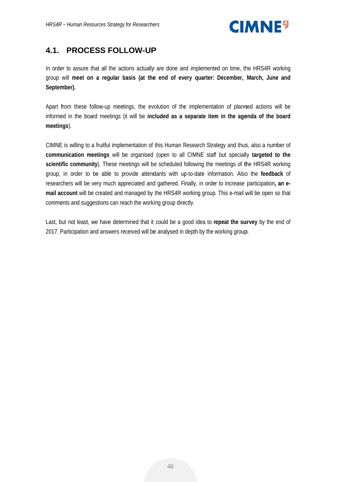

#### $4.1.$ **PROCESS FOLLOW-UP**

In order to assure that all the actions actually are done and implemented on time, the HRS4R working group will meet on a regular basis (at the end of every guarter: December, March, June and September).

Apart from these follow-up meetings, the evolution of the implementation of planned actions will be informed in the board meetings (it will be included as a separate item in the agenda of the board meetings).

CIMNE is willing to a fruitful implementation of this Human Research Strategy and thus, also a number of communication meetings will be organised (open to all CIMNE staff but specially targeted to the scientific community). These meetings will be scheduled following the meetings of the HRS4R working group, in order to be able to provide attendants with up-to-date information. Also the feedback of researchers will be very much appreciated and gathered. Finally, in order to increase participation, an email account will be created and managed by the HRS4R working group. This e-mail will be open so that comments and suggestions can reach the working group directly.

Last, but not least, we have determined that it could be a good idea to repeat the survey by the end of 2017. Participation and answers received will be analysed in depth by the working group.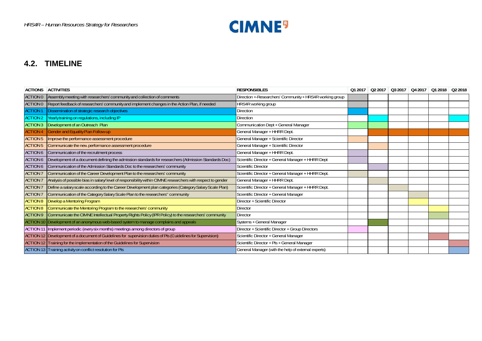

### 4.2. TIMELINE

|                 | <b>ACTIONS ACTIVITIES</b>                                                                                    | <b>RESPONSIBLES</b>                                      | Q1 2017 | Q2 2017 |  | $\mid$ Q3 2017 $\mid$ Q4 2017 $\mid$ Q1 2018 $\mid$ Q2 2018 |  |
|-----------------|--------------------------------------------------------------------------------------------------------------|----------------------------------------------------------|---------|---------|--|-------------------------------------------------------------|--|
| ACTION 0        | Assembly meeting with researchers' community and collection of comments                                      | Direction +-Researchers' Community + HRS4R working group |         |         |  |                                                             |  |
| ACTION 0        | Report feedback of researchers' community and implement changes in the Action Plan, if needed                | HRS4R working group                                      |         |         |  |                                                             |  |
| <b>ACTION1</b>  | Dissemination of strategic research objectives                                                               | <b>Direction</b>                                         |         |         |  |                                                             |  |
| <b>ACTION 2</b> | Yearly training on regulations, including IP                                                                 | Direction                                                |         |         |  |                                                             |  |
| ACTION 3        | Development of an Outreach Plan                                                                              | Communication Dept + General Manager                     |         |         |  |                                                             |  |
| <b>ACTION 4</b> | <b>Gender and Equality Plan Follow-up</b>                                                                    | General Manager + HHRR Dept.                             |         |         |  |                                                             |  |
| ACTION 5        | Improve the performance assessment procedure                                                                 | General Manager + Scientific Director                    |         |         |  |                                                             |  |
| <b>ACTION 5</b> | Communicate the new performance assessment procedure                                                         | General Manager + Scientific Director                    |         |         |  |                                                             |  |
| <b>ACTION 6</b> | Communication of the recruitment process                                                                     | General Manager + HHRR Dept.                             |         |         |  |                                                             |  |
| <b>ACTION 6</b> | Development of a document defining the admission standards for researchers (Admission Standards Doc)         | Scientific Director + General Manager + HHRR Dept        |         |         |  |                                                             |  |
| ACTION 6        | Communication of the Admission Standards Doc to the researchers' community                                   | Scientific Director                                      |         |         |  |                                                             |  |
| <b>ACTION 7</b> | Communication of the Career Development Plan to the researchers' community                                   | Scientific Director + General Manager + HHRR Dept.       |         |         |  |                                                             |  |
| <b>ACTION 7</b> | Analysis of possible bias in salary level of responsibility within CIMNE researchers with respect to gender  | General Manager + HHRR Dept.                             |         |         |  |                                                             |  |
| <b>ACTION 7</b> | Define a salary scale according to the Career Development plan categories (Category Salary Scale Plan)       | Scientific Director + General Manager + HHRR Dept.       |         |         |  |                                                             |  |
| <b>ACTION 7</b> | Communication of the Category Salary Scale Plan to the researchers" community                                | Scientific Director + General Manager                    |         |         |  |                                                             |  |
| <b>ACTION 8</b> | Develop a Mentoring Program                                                                                  | Director + Scientific Director                           |         |         |  |                                                             |  |
| <b>ACTION 8</b> | Communicate the Mentoring Program to the researchers' community                                              | <b>Director</b>                                          |         |         |  |                                                             |  |
| ACTION 9        | Communicate the CIMNE Intellectual Property Rights Policy (IPR Policy) to the researchers' community         | <b>Director</b>                                          |         |         |  |                                                             |  |
|                 | ACTION 10 Development of an anonymous web-based system to manage complains and appeals                       | Systems + General Manager                                |         |         |  |                                                             |  |
|                 | ACTION 11 Implement periodic (every six months) meetings among directors of group                            | Director + Scientific Director + Group Directors         |         |         |  |                                                             |  |
|                 | ACTION 12 Development of a document of Guidelines for supervision duties of PIs (Guidelines for Supervision) | Scientific Director + General Manager                    |         |         |  |                                                             |  |
|                 | ACTION 12 Training for the implementation of the Guidelines for Supervision                                  | Scientific Director + Pls + General Manager              |         |         |  |                                                             |  |
|                 | ACTION 13 Training activity on conflict resolution for PIs                                                   | General Manager (with the help of external experts)      |         |         |  |                                                             |  |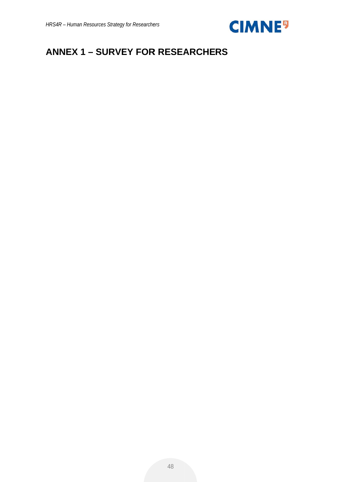

## **ANNEX 1 - SURVEY FOR RESEARCHERS**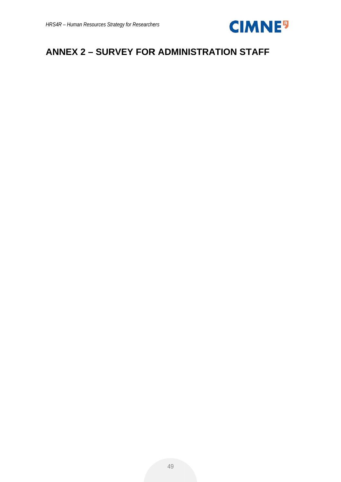

## **ANNEX 2 - SURVEY FOR ADMINISTRATION STAFF**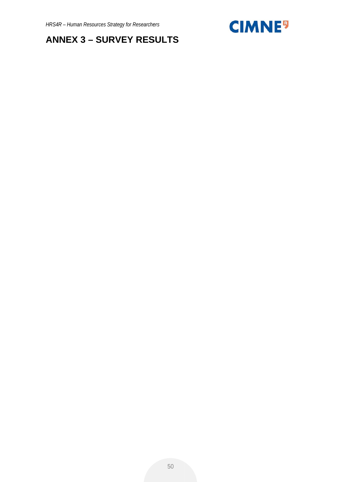

## **ANNEX 3 - SURVEY RESULTS**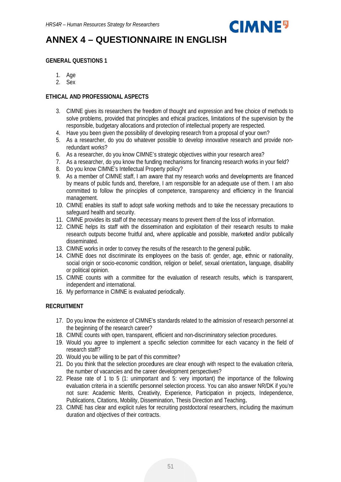

## **ANNEX 4 - QUESTIONNAIRE IN ENGLISH**

#### **GENERAL OUESTIONS 1**

- 1. Age
- 2. Sex

#### **ETHICAL AND PROFESSIONAL ASPECTS**

- 3. CIMNE gives its researchers the freedom of thought and expression and free choice of methods to solve problems, provided that principles and ethical practices, limitations of the supervision by the responsible, budgetary allocations and protection of intellectual property are respected.
- 4. Have you been given the possibility of developing research from a proposal of your own?
- 5. As a researcher, do you do whatever possible to develop innovative research and provide nonredundant works?
- 6. As a researcher, do you know CIMNE's strategic objectives within your research area?
- 7. As a researcher, do you know the funding mechanisms for financing research works in your field?
- 8. Do you know CIMNE's Intellectual Property policy?
- 9. As a member of CIMNE staff, I am aware that my research works and developments are financed by means of public funds and, therefore, I am responsible for an adequate use of them. I am also committed to follow the principles of competence, transparency and efficiency in the financial management.
- 10. CIMNE enables its staff to adopt safe working methods and to take the necessary precautions to safequard health and security.
- 11. CIMNE provides its staff of the necessary means to prevent them of the loss of information.
- 12. CIMNE helps its staff with the dissemination and exploitation of their research results to make research outputs become fruitful and, where applicable and possible, marketed and/or publically disseminated.
- 13. CIMNE works in order to convey the results of the research to the general public.
- 14. CIMNE does not discriminate its employees on the basis of: gender, age, ethnic or nationality, social origin or socio-economic condition, religion or belief, sexual orientation, language, disability or political opinion.
- 15. CIMNE counts with a committee for the evaluation of research results, which is transparent, independent and international.
- 16. My performance in CIMNE is evaluated periodically.

#### **RECRUITMENT**

- 17. Do you know the existence of CIMNE's standards related to the admission of research personnel at the beginning of the research career?
- 18. CIMNE counts with open, transparent, efficient and non-discriminatory selection procedures.
- 19. Would you agree to implement a specific selection committee for each vacancy in the field of research staff?
- 20. Would you be willing to be part of this committee?
- 21. Do you think that the selection procedures are clear enough with respect to the evaluation criteria, the number of vacancies and the career development perspectives?
- 22. Please rate of 1 to 5 (1: unimportant and 5: very important) the importance of the following evaluation criteria in a scientific personnel selection process. You can also answer NR/DK if you're not sure: Academic Merits, Creativity, Experience, Participation in projects, Independence, Publications, Citations, Mobility, Dissemination, Thesis Direction and Teaching.
- 23. CIMNE has clear and explicit rules for recruiting postdoctoral researchers, including the maximum duration and objectives of their contracts.